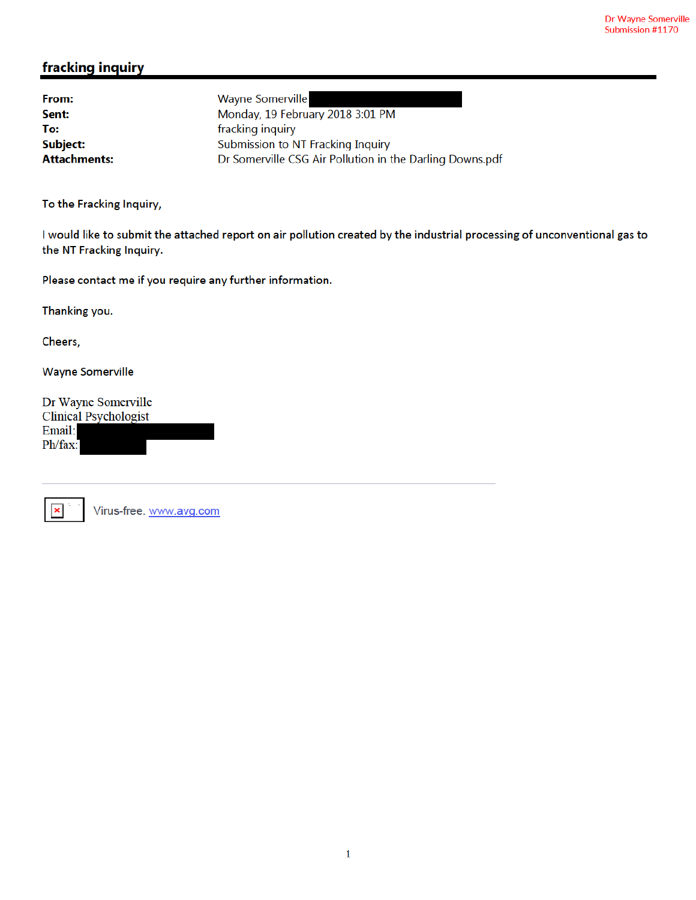## fracking inquiry

From: **Wayne Somerville** Monday, 19 February 2018 3:01 PM Sent: To: fracking inquiry **Subject:** Submission to NT Fracking Inquiry **Attachments:** Dr Somerville CSG Air Pollution in the Darling Downs.pdf

To the Fracking Inquiry,

I would like to submit the attached report on air pollution created by the industrial processing of unconventional gas to the NT Fracking Inquiry.

Please contact me if you require any further information.

Thanking you.

Cheers,

**Wayne Somerville** 

Dr Wayne Somerville **Clinical Psychologist** Email: Ph/fax:

|  | <b>CARD</b> |
|--|-------------|
|  |             |

Virus-free. www.avg.com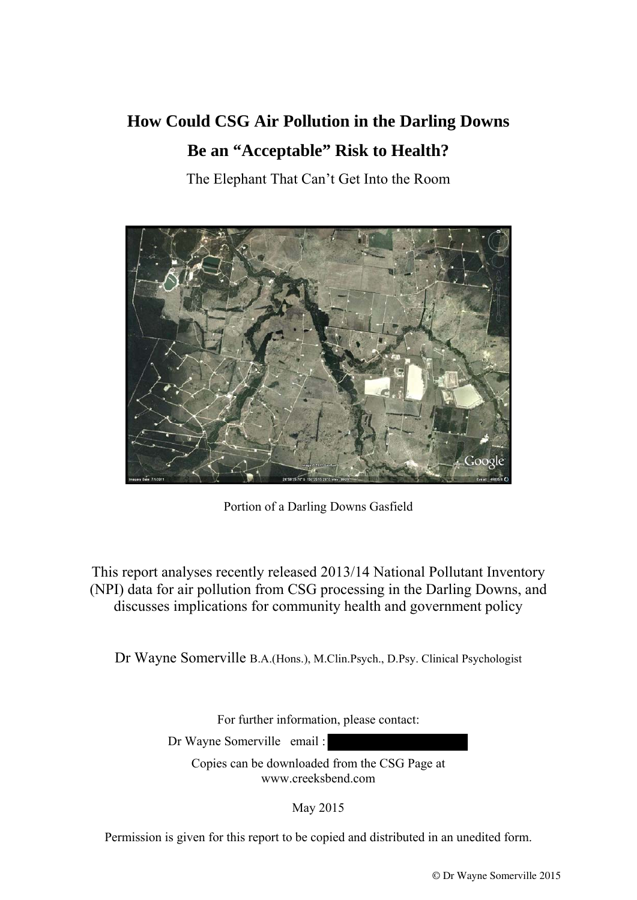# **How Could CSG Air Pollution in the Darling Downs Be an "Acceptable" Risk to Health?**

The Elephant That Can't Get Into the Room



Portion of a Darling Downs Gasfield

This report analyses recently released 2013/14 National Pollutant Inventory (NPI) data for air pollution from CSG processing in the Darling Downs, and discusses implications for community health and government policy

Dr Wayne Somerville B.A.(Hons.), M.Clin.Psych., D.Psy. Clinical Psychologist

For further information, please contact:

Dr Wayne Somerville email :

Copies can be downloaded from the CSG Page at www.creeksbend.com

May 2015

Permission is given for this report to be copied and distributed in an unedited form.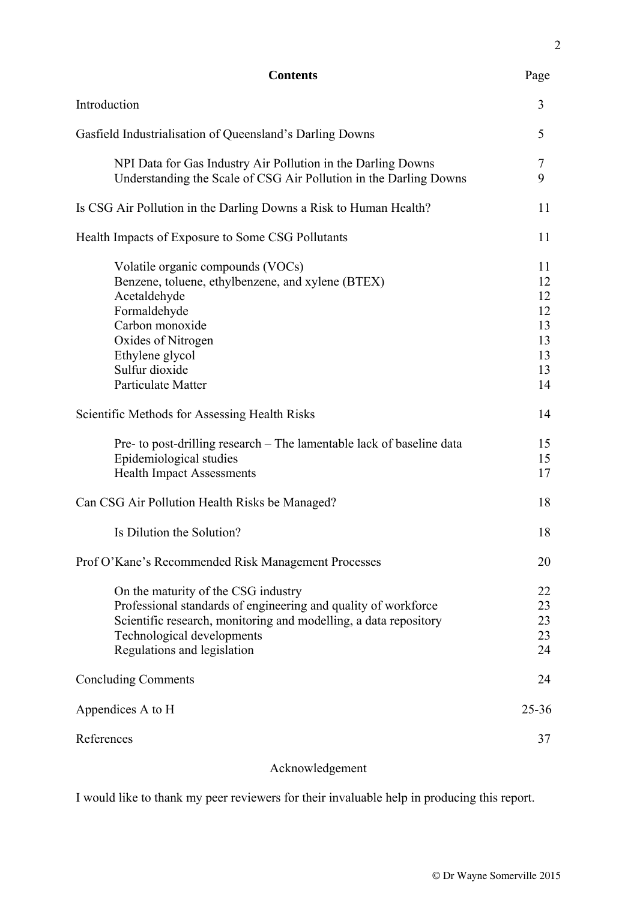| <b>Contents</b>                                                                                                                                                                                                                        | Page                                               |
|----------------------------------------------------------------------------------------------------------------------------------------------------------------------------------------------------------------------------------------|----------------------------------------------------|
| Introduction                                                                                                                                                                                                                           | 3                                                  |
| Gasfield Industrialisation of Queensland's Darling Downs                                                                                                                                                                               | 5                                                  |
| NPI Data for Gas Industry Air Pollution in the Darling Downs<br>Understanding the Scale of CSG Air Pollution in the Darling Downs                                                                                                      | 7<br>9                                             |
| Is CSG Air Pollution in the Darling Downs a Risk to Human Health?                                                                                                                                                                      | 11                                                 |
| Health Impacts of Exposure to Some CSG Pollutants                                                                                                                                                                                      | 11                                                 |
| Volatile organic compounds (VOCs)<br>Benzene, toluene, ethylbenzene, and xylene (BTEX)<br>Acetaldehyde<br>Formaldehyde<br>Carbon monoxide<br>Oxides of Nitrogen<br>Ethylene glycol<br>Sulfur dioxide<br>Particulate Matter             | 11<br>12<br>12<br>12<br>13<br>13<br>13<br>13<br>14 |
| Scientific Methods for Assessing Health Risks                                                                                                                                                                                          | 14                                                 |
| Pre- to post-drilling research – The lamentable lack of baseline data<br>Epidemiological studies<br><b>Health Impact Assessments</b>                                                                                                   | 15<br>15<br>17                                     |
| Can CSG Air Pollution Health Risks be Managed?                                                                                                                                                                                         | 18                                                 |
| Is Dilution the Solution?                                                                                                                                                                                                              | 18                                                 |
| Prof O'Kane's Recommended Risk Management Processes                                                                                                                                                                                    | 20                                                 |
| On the maturity of the CSG industry<br>Professional standards of engineering and quality of workforce<br>Scientific research, monitoring and modelling, a data repository<br>Technological developments<br>Regulations and legislation | 22<br>23<br>23<br>23<br>24                         |
| <b>Concluding Comments</b>                                                                                                                                                                                                             | 24                                                 |
| Appendices A to H                                                                                                                                                                                                                      | $25 - 36$                                          |
| References                                                                                                                                                                                                                             | 37                                                 |
|                                                                                                                                                                                                                                        |                                                    |

# Acknowledgement

I would like to thank my peer reviewers for their invaluable help in producing this report.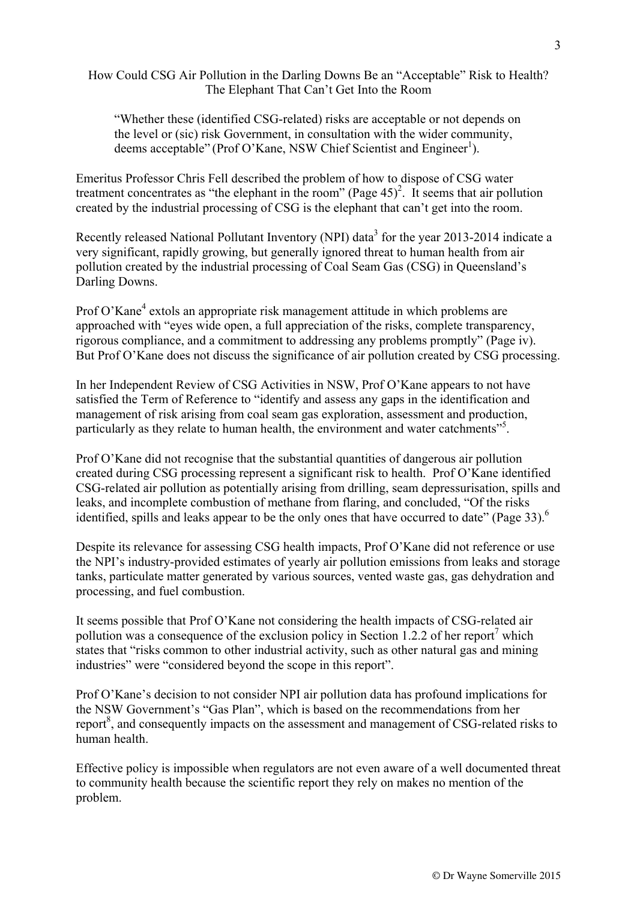How Could CSG Air Pollution in the Darling Downs Be an "Acceptable" Risk to Health? The Elephant That Can't Get Into the Room

"Whether these (identified CSG-related) risks are acceptable or not depends on the level or (sic) risk Government, in consultation with the wider community, deems acceptable" (Prof O'Kane, NSW Chief Scientist and Engineer<sup>1</sup>).

Emeritus Professor Chris Fell described the problem of how to dispose of CSG water treatment concentrates as "the elephant in the room" (Page  $45$ )<sup>2</sup>. It seems that air pollution created by the industrial processing of CSG is the elephant that can't get into the room.

Recently released National Pollutant Inventory (NPI) data<sup>3</sup> for the year 2013-2014 indicate a very significant, rapidly growing, but generally ignored threat to human health from air pollution created by the industrial processing of Coal Seam Gas (CSG) in Queensland's Darling Downs.

Prof O'Kane<sup>4</sup> extols an appropriate risk management attitude in which problems are approached with "eyes wide open, a full appreciation of the risks, complete transparency, rigorous compliance, and a commitment to addressing any problems promptly" (Page iv). But Prof O'Kane does not discuss the significance of air pollution created by CSG processing.

In her Independent Review of CSG Activities in NSW, Prof O'Kane appears to not have satisfied the Term of Reference to "identify and assess any gaps in the identification and management of risk arising from coal seam gas exploration, assessment and production, particularly as they relate to human health, the environment and water catchments"<sup>5</sup>.

Prof O'Kane did not recognise that the substantial quantities of dangerous air pollution created during CSG processing represent a significant risk to health. Prof O'Kane identified CSG-related air pollution as potentially arising from drilling, seam depressurisation, spills and leaks, and incomplete combustion of methane from flaring, and concluded, "Of the risks identified, spills and leaks appear to be the only ones that have occurred to date" (Page 33).<sup>6</sup>

Despite its relevance for assessing CSG health impacts, Prof O'Kane did not reference or use the NPI's industry-provided estimates of yearly air pollution emissions from leaks and storage tanks, particulate matter generated by various sources, vented waste gas, gas dehydration and processing, and fuel combustion.

It seems possible that Prof O'Kane not considering the health impacts of CSG-related air pollution was a consequence of the exclusion policy in Section 1.2.2 of her report<sup>7</sup> which states that "risks common to other industrial activity, such as other natural gas and mining industries" were "considered beyond the scope in this report".

Prof O'Kane's decision to not consider NPI air pollution data has profound implications for the NSW Government's "Gas Plan", which is based on the recommendations from her report $\delta$ , and consequently impacts on the assessment and management of CSG-related risks to human health.

Effective policy is impossible when regulators are not even aware of a well documented threat to community health because the scientific report they rely on makes no mention of the problem.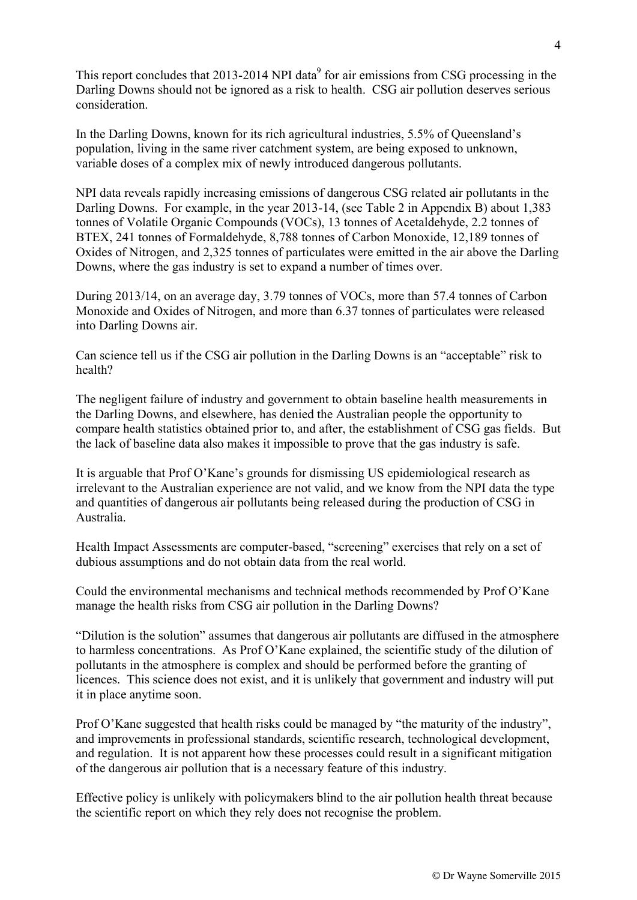This report concludes that 2013-2014 NPI data<sup>9</sup> for air emissions from CSG processing in the Darling Downs should not be ignored as a risk to health. CSG air pollution deserves serious consideration.

In the Darling Downs, known for its rich agricultural industries, 5.5% of Queensland's population, living in the same river catchment system, are being exposed to unknown, variable doses of a complex mix of newly introduced dangerous pollutants.

NPI data reveals rapidly increasing emissions of dangerous CSG related air pollutants in the Darling Downs. For example, in the year 2013-14, (see Table 2 in Appendix B) about 1,383 tonnes of Volatile Organic Compounds (VOCs), 13 tonnes of Acetaldehyde, 2.2 tonnes of BTEX, 241 tonnes of Formaldehyde, 8,788 tonnes of Carbon Monoxide, 12,189 tonnes of Oxides of Nitrogen, and 2,325 tonnes of particulates were emitted in the air above the Darling Downs, where the gas industry is set to expand a number of times over.

During 2013/14, on an average day, 3.79 tonnes of VOCs, more than 57.4 tonnes of Carbon Monoxide and Oxides of Nitrogen, and more than 6.37 tonnes of particulates were released into Darling Downs air.

Can science tell us if the CSG air pollution in the Darling Downs is an "acceptable" risk to health?

The negligent failure of industry and government to obtain baseline health measurements in the Darling Downs, and elsewhere, has denied the Australian people the opportunity to compare health statistics obtained prior to, and after, the establishment of CSG gas fields. But the lack of baseline data also makes it impossible to prove that the gas industry is safe.

It is arguable that Prof O'Kane's grounds for dismissing US epidemiological research as irrelevant to the Australian experience are not valid, and we know from the NPI data the type and quantities of dangerous air pollutants being released during the production of CSG in Australia.

Health Impact Assessments are computer-based, "screening" exercises that rely on a set of dubious assumptions and do not obtain data from the real world.

Could the environmental mechanisms and technical methods recommended by Prof O'Kane manage the health risks from CSG air pollution in the Darling Downs?

"Dilution is the solution" assumes that dangerous air pollutants are diffused in the atmosphere to harmless concentrations. As Prof O'Kane explained, the scientific study of the dilution of pollutants in the atmosphere is complex and should be performed before the granting of licences. This science does not exist, and it is unlikely that government and industry will put it in place anytime soon.

Prof O'Kane suggested that health risks could be managed by "the maturity of the industry", and improvements in professional standards, scientific research, technological development, and regulation. It is not apparent how these processes could result in a significant mitigation of the dangerous air pollution that is a necessary feature of this industry.

Effective policy is unlikely with policymakers blind to the air pollution health threat because the scientific report on which they rely does not recognise the problem.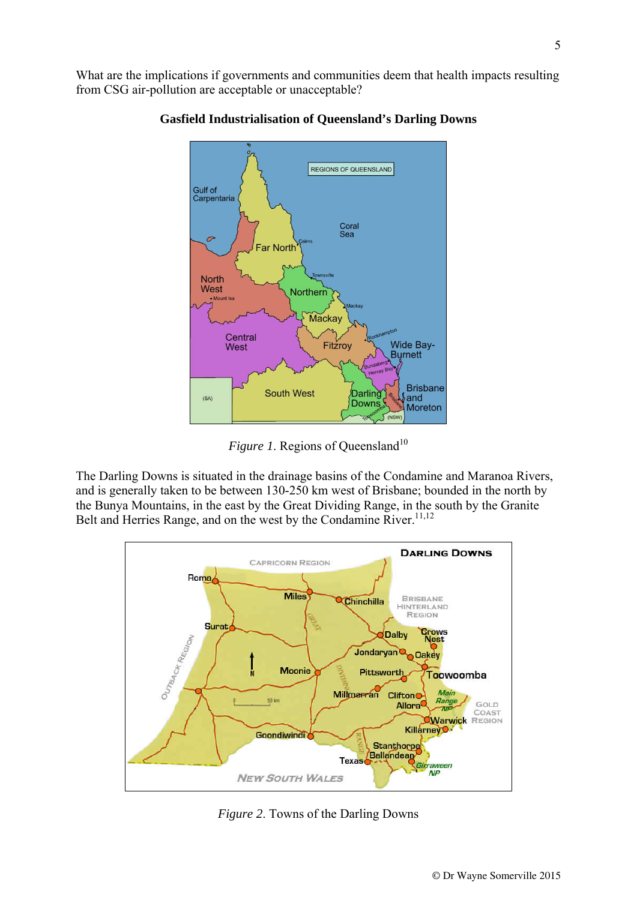What are the implications if governments and communities deem that health impacts resulting from CSG air-pollution are acceptable or unacceptable?



#### **Gasfield Industrialisation of Queensland's Darling Downs**

*Figure 1*. Regions of Queensland<sup>10</sup>

The Darling Downs is situated in the drainage basins of the Condamine and Maranoa Rivers, and is generally taken to be between 130-250 km west of Brisbane; bounded in the north by the Bunya Mountains, in the east by the Great Dividing Range, in the south by the Granite Belt and Herries Range, and on the west by the Condamine River.<sup>11,12</sup>



*Figure 2*. Towns of the Darling Downs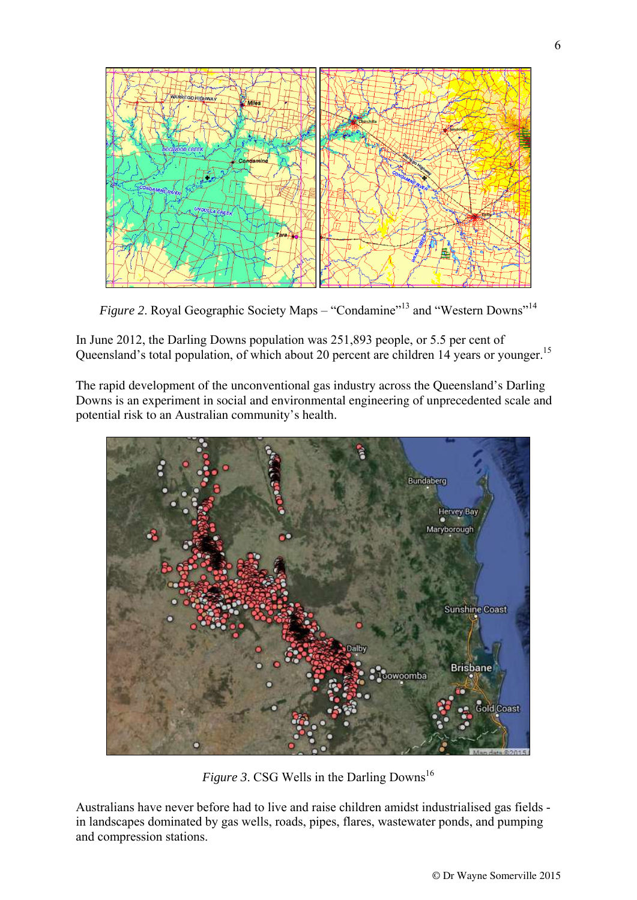

*Figure 2.* Royal Geographic Society Maps – "Condamine"<sup>13</sup> and "Western Downs"<sup>14</sup>

In June 2012, the Darling Downs population was 251,893 people, or 5.5 per cent of Queensland's total population, of which about 20 percent are children 14 years or younger.<sup>15</sup>

The rapid development of the unconventional gas industry across the Queensland's Darling Downs is an experiment in social and environmental engineering of unprecedented scale and potential risk to an Australian community's health.



*Figure 3.* CSG Wells in the Darling Downs<sup>16</sup>

Australians have never before had to live and raise children amidst industrialised gas fields in landscapes dominated by gas wells, roads, pipes, flares, wastewater ponds, and pumping and compression stations.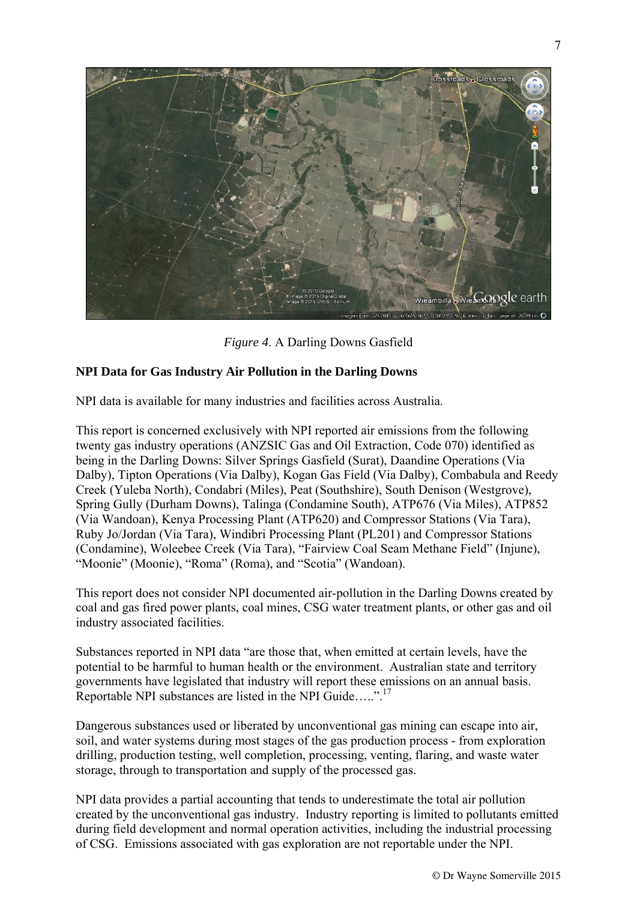

*Figure 4*. A Darling Downs Gasfield

## **NPI Data for Gas Industry Air Pollution in the Darling Downs**

NPI data is available for many industries and facilities across Australia.

This report is concerned exclusively with NPI reported air emissions from the following twenty gas industry operations (ANZSIC Gas and Oil Extraction, Code 070) identified as being in the Darling Downs: Silver Springs Gasfield (Surat), Daandine Operations (Via Dalby), Tipton Operations (Via Dalby), Kogan Gas Field (Via Dalby), Combabula and Reedy Creek (Yuleba North), Condabri (Miles), Peat (Southshire), South Denison (Westgrove), Spring Gully (Durham Downs), Talinga (Condamine South), ATP676 (Via Miles), ATP852 (Via Wandoan), Kenya Processing Plant (ATP620) and Compressor Stations (Via Tara), Ruby Jo/Jordan (Via Tara), Windibri Processing Plant (PL201) and Compressor Stations (Condamine), Woleebee Creek (Via Tara), "Fairview Coal Seam Methane Field" (Injune), "Moonie" (Moonie), "Roma" (Roma), and "Scotia" (Wandoan).

This report does not consider NPI documented air-pollution in the Darling Downs created by coal and gas fired power plants, coal mines, CSG water treatment plants, or other gas and oil industry associated facilities.

Substances reported in NPI data "are those that, when emitted at certain levels, have the potential to be harmful to human health or the environment. Australian state and territory governments have legislated that industry will report these emissions on an annual basis. Reportable NPI substances are listed in the NPI Guide…..".17

Dangerous substances used or liberated by unconventional gas mining can escape into air, soil, and water systems during most stages of the gas production process - from exploration drilling, production testing, well completion, processing, venting, flaring, and waste water storage, through to transportation and supply of the processed gas.

NPI data provides a partial accounting that tends to underestimate the total air pollution created by the unconventional gas industry. Industry reporting is limited to pollutants emitted during field development and normal operation activities, including the industrial processing of CSG. Emissions associated with gas exploration are not reportable under the NPI.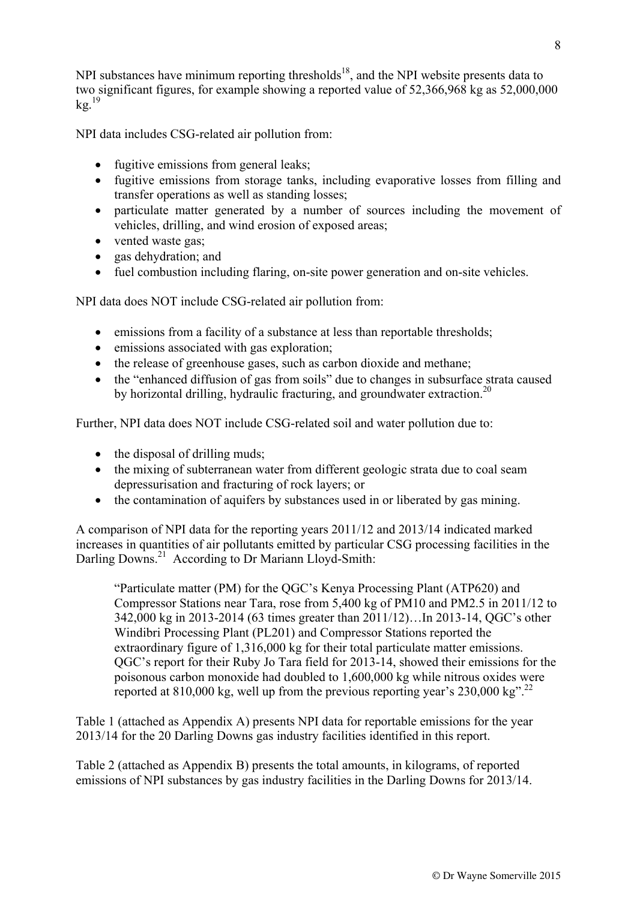NPI data includes CSG-related air pollution from:

- fugitive emissions from general leaks:
- fugitive emissions from storage tanks, including evaporative losses from filling and transfer operations as well as standing losses;
- particulate matter generated by a number of sources including the movement of vehicles, drilling, and wind erosion of exposed areas;
- vented waste gas;
- gas dehydration; and
- fuel combustion including flaring, on-site power generation and on-site vehicles.

NPI data does NOT include CSG-related air pollution from:

- emissions from a facility of a substance at less than reportable thresholds;
- emissions associated with gas exploration;
- the release of greenhouse gases, such as carbon dioxide and methane;
- the "enhanced diffusion of gas from soils" due to changes in subsurface strata caused by horizontal drilling, hydraulic fracturing, and groundwater extraction.<sup>20</sup>

Further, NPI data does NOT include CSG-related soil and water pollution due to:

- the disposal of drilling muds;
- the mixing of subterranean water from different geologic strata due to coal seam depressurisation and fracturing of rock layers; or
- the contamination of aquifers by substances used in or liberated by gas mining.

A comparison of NPI data for the reporting years 2011/12 and 2013/14 indicated marked increases in quantities of air pollutants emitted by particular CSG processing facilities in the Darling Downs.<sup>21</sup> According to Dr Mariann Lloyd-Smith:

"Particulate matter (PM) for the QGC's Kenya Processing Plant (ATP620) and Compressor Stations near Tara, rose from 5,400 kg of PM10 and PM2.5 in 2011/12 to 342,000 kg in 2013-2014 (63 times greater than 2011/12)…In 2013-14, QGC's other Windibri Processing Plant (PL201) and Compressor Stations reported the extraordinary figure of 1,316,000 kg for their total particulate matter emissions. QGC's report for their Ruby Jo Tara field for 2013-14, showed their emissions for the poisonous carbon monoxide had doubled to 1,600,000 kg while nitrous oxides were reported at 810,000 kg, well up from the previous reporting year's  $230,000$  kg<sup>". 22</sup>

Table 1 (attached as Appendix A) presents NPI data for reportable emissions for the year 2013/14 for the 20 Darling Downs gas industry facilities identified in this report.

Table 2 (attached as Appendix B) presents the total amounts, in kilograms, of reported emissions of NPI substances by gas industry facilities in the Darling Downs for 2013/14.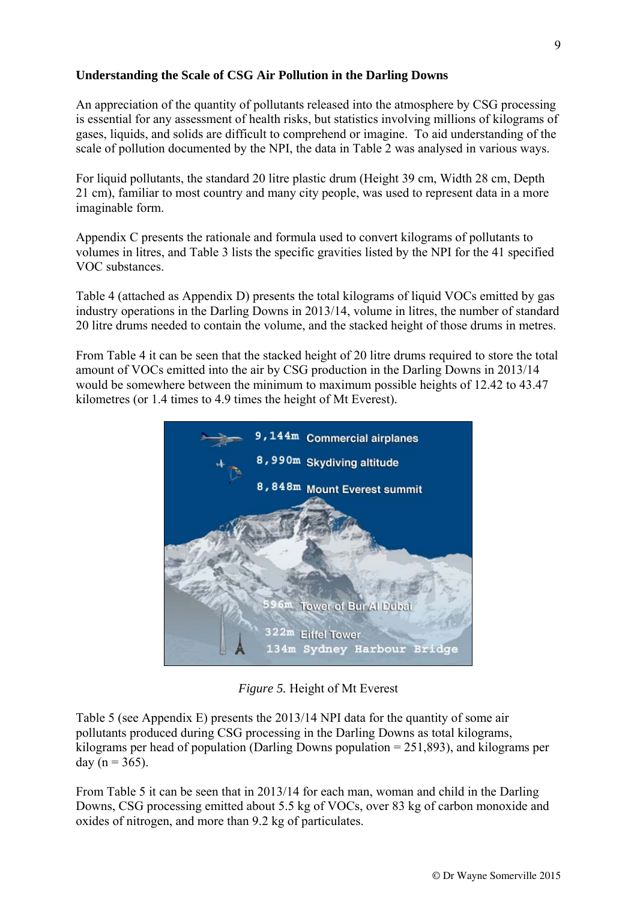## **Understanding the Scale of CSG Air Pollution in the Darling Downs**

An appreciation of the quantity of pollutants released into the atmosphere by CSG processing is essential for any assessment of health risks, but statistics involving millions of kilograms of gases, liquids, and solids are difficult to comprehend or imagine. To aid understanding of the scale of pollution documented by the NPI, the data in Table 2 was analysed in various ways.

For liquid pollutants, the standard 20 litre plastic drum (Height 39 cm, Width 28 cm, Depth 21 cm), familiar to most country and many city people, was used to represent data in a more imaginable form.

Appendix C presents the rationale and formula used to convert kilograms of pollutants to volumes in litres, and Table 3 lists the specific gravities listed by the NPI for the 41 specified VOC substances.

Table 4 (attached as Appendix D) presents the total kilograms of liquid VOCs emitted by gas industry operations in the Darling Downs in 2013/14, volume in litres, the number of standard 20 litre drums needed to contain the volume, and the stacked height of those drums in metres.

From Table 4 it can be seen that the stacked height of 20 litre drums required to store the total amount of VOCs emitted into the air by CSG production in the Darling Downs in 2013/14 would be somewhere between the minimum to maximum possible heights of 12.42 to 43.47 kilometres (or 1.4 times to 4.9 times the height of Mt Everest).



*Figure 5.* Height of Mt Everest

Table 5 (see Appendix E) presents the 2013/14 NPI data for the quantity of some air pollutants produced during CSG processing in the Darling Downs as total kilograms, kilograms per head of population (Darling Downs population = 251,893), and kilograms per day ( $n = 365$ ).

From Table 5 it can be seen that in 2013/14 for each man, woman and child in the Darling Downs, CSG processing emitted about 5.5 kg of VOCs, over 83 kg of carbon monoxide and oxides of nitrogen, and more than 9.2 kg of particulates.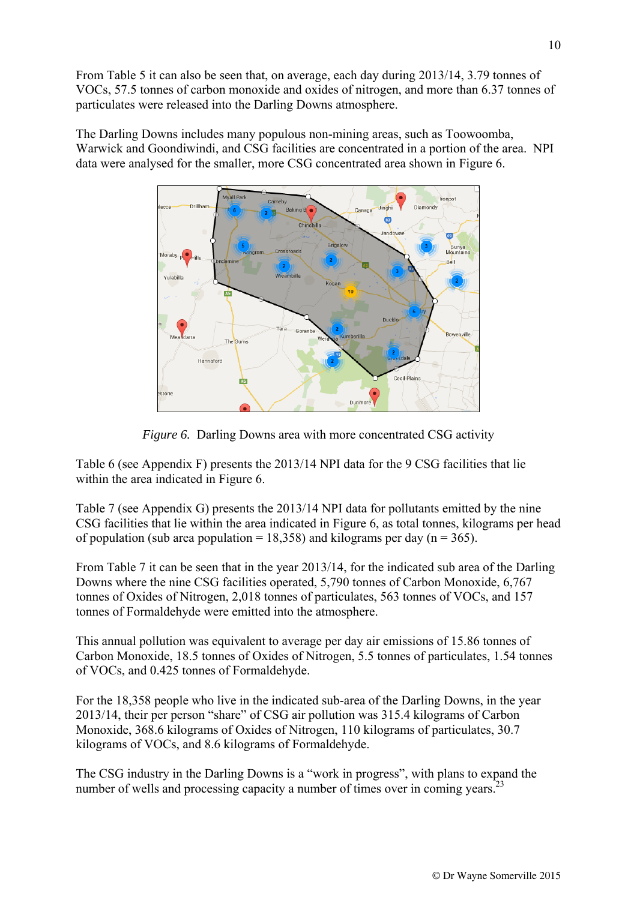From Table 5 it can also be seen that, on average, each day during 2013/14, 3.79 tonnes of VOCs, 57.5 tonnes of carbon monoxide and oxides of nitrogen, and more than 6.37 tonnes of particulates were released into the Darling Downs atmosphere.

The Darling Downs includes many populous non-mining areas, such as Toowoomba, Warwick and Goondiwindi, and CSG facilities are concentrated in a portion of the area. NPI data were analysed for the smaller, more CSG concentrated area shown in Figure 6.



*Figure 6.* Darling Downs area with more concentrated CSG activity

Table 6 (see Appendix F) presents the 2013/14 NPI data for the 9 CSG facilities that lie within the area indicated in Figure 6.

Table 7 (see Appendix G) presents the 2013/14 NPI data for pollutants emitted by the nine CSG facilities that lie within the area indicated in Figure 6, as total tonnes, kilograms per head of population (sub area population = 18,358) and kilograms per day ( $n = 365$ ).

From Table 7 it can be seen that in the year 2013/14, for the indicated sub area of the Darling Downs where the nine CSG facilities operated, 5,790 tonnes of Carbon Monoxide, 6,767 tonnes of Oxides of Nitrogen, 2,018 tonnes of particulates, 563 tonnes of VOCs, and 157 tonnes of Formaldehyde were emitted into the atmosphere.

This annual pollution was equivalent to average per day air emissions of 15.86 tonnes of Carbon Monoxide, 18.5 tonnes of Oxides of Nitrogen, 5.5 tonnes of particulates, 1.54 tonnes of VOCs, and 0.425 tonnes of Formaldehyde.

For the 18,358 people who live in the indicated sub-area of the Darling Downs, in the year 2013/14, their per person "share" of CSG air pollution was 315.4 kilograms of Carbon Monoxide, 368.6 kilograms of Oxides of Nitrogen, 110 kilograms of particulates, 30.7 kilograms of VOCs, and 8.6 kilograms of Formaldehyde.

The CSG industry in the Darling Downs is a "work in progress", with plans to expand the number of wells and processing capacity a number of times over in coming years.<sup>23</sup>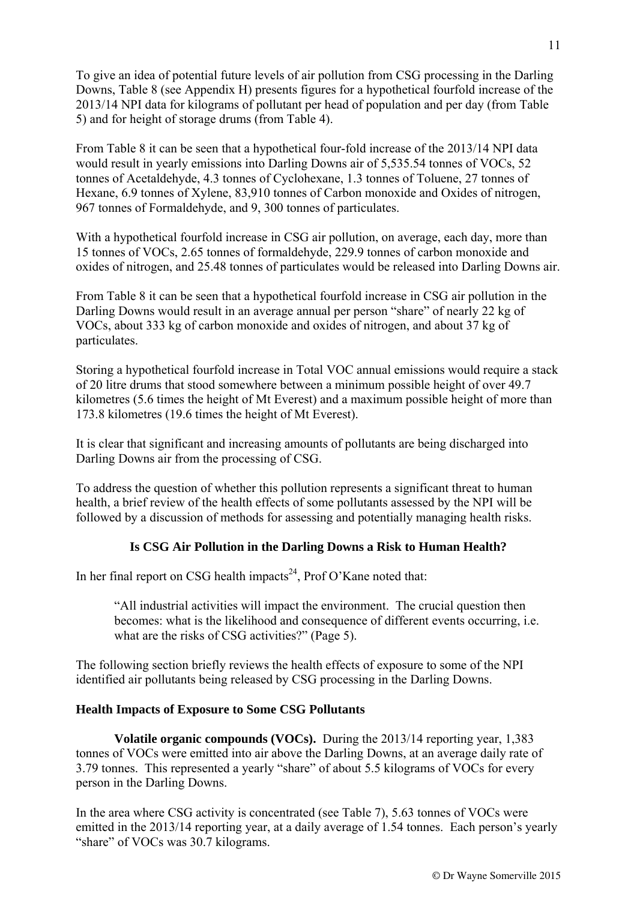To give an idea of potential future levels of air pollution from CSG processing in the Darling Downs, Table 8 (see Appendix H) presents figures for a hypothetical fourfold increase of the 2013/14 NPI data for kilograms of pollutant per head of population and per day (from Table 5) and for height of storage drums (from Table 4).

From Table 8 it can be seen that a hypothetical four-fold increase of the 2013/14 NPI data would result in yearly emissions into Darling Downs air of 5,535.54 tonnes of VOCs, 52 tonnes of Acetaldehyde, 4.3 tonnes of Cyclohexane, 1.3 tonnes of Toluene, 27 tonnes of Hexane, 6.9 tonnes of Xylene, 83,910 tonnes of Carbon monoxide and Oxides of nitrogen, 967 tonnes of Formaldehyde, and 9, 300 tonnes of particulates.

With a hypothetical fourfold increase in CSG air pollution, on average, each day, more than 15 tonnes of VOCs, 2.65 tonnes of formaldehyde, 229.9 tonnes of carbon monoxide and oxides of nitrogen, and 25.48 tonnes of particulates would be released into Darling Downs air.

From Table 8 it can be seen that a hypothetical fourfold increase in CSG air pollution in the Darling Downs would result in an average annual per person "share" of nearly 22 kg of VOCs, about 333 kg of carbon monoxide and oxides of nitrogen, and about 37 kg of particulates.

Storing a hypothetical fourfold increase in Total VOC annual emissions would require a stack of 20 litre drums that stood somewhere between a minimum possible height of over 49.7 kilometres (5.6 times the height of Mt Everest) and a maximum possible height of more than 173.8 kilometres (19.6 times the height of Mt Everest).

It is clear that significant and increasing amounts of pollutants are being discharged into Darling Downs air from the processing of CSG.

To address the question of whether this pollution represents a significant threat to human health, a brief review of the health effects of some pollutants assessed by the NPI will be followed by a discussion of methods for assessing and potentially managing health risks.

### **Is CSG Air Pollution in the Darling Downs a Risk to Human Health?**

In her final report on CSG health impacts<sup>24</sup>, Prof O'Kane noted that:

"All industrial activities will impact the environment. The crucial question then becomes: what is the likelihood and consequence of different events occurring, i.e. what are the risks of CSG activities?" (Page 5).

The following section briefly reviews the health effects of exposure to some of the NPI identified air pollutants being released by CSG processing in the Darling Downs.

#### **Health Impacts of Exposure to Some CSG Pollutants**

**Volatile organic compounds (VOCs).** During the 2013/14 reporting year, 1,383 tonnes of VOCs were emitted into air above the Darling Downs, at an average daily rate of 3.79 tonnes. This represented a yearly "share" of about 5.5 kilograms of VOCs for every person in the Darling Downs.

In the area where CSG activity is concentrated (see Table 7), 5.63 tonnes of VOCs were emitted in the 2013/14 reporting year, at a daily average of 1.54 tonnes. Each person's yearly "share" of VOCs was 30.7 kilograms.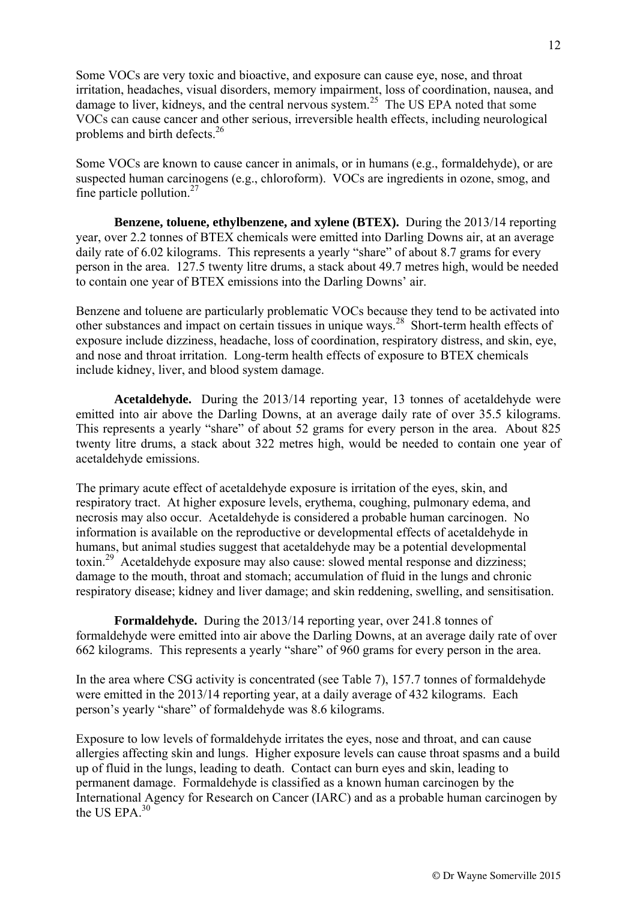Some VOCs are very toxic and bioactive, and exposure can cause eye, nose, and throat irritation, headaches, visual disorders, memory impairment, loss of coordination, nausea, and damage to liver, kidneys, and the central nervous system.<sup>25</sup> The US EPA noted that some VOCs can cause cancer and other serious, irreversible health effects, including neurological problems and birth defects.<sup>26</sup>

Some VOCs are known to cause cancer in animals, or in humans (e.g., formaldehyde), or are suspected human carcinogens (e.g., chloroform). VOCs are ingredients in ozone, smog, and fine particle pollution. $27$ 

**Benzene, toluene, ethylbenzene, and xylene (BTEX).** During the 2013/14 reporting year, over 2.2 tonnes of BTEX chemicals were emitted into Darling Downs air, at an average daily rate of 6.02 kilograms. This represents a yearly "share" of about 8.7 grams for every person in the area. 127.5 twenty litre drums, a stack about 49.7 metres high, would be needed to contain one year of BTEX emissions into the Darling Downs' air.

Benzene and toluene are particularly problematic VOCs because they tend to be activated into other substances and impact on certain tissues in unique ways.<sup>28</sup> Short-term health effects of exposure include dizziness, headache, loss of coordination, respiratory distress, and skin, eye, and nose and throat irritation. Long-term health effects of exposure to BTEX chemicals include kidney, liver, and blood system damage.

**Acetaldehyde.** During the 2013/14 reporting year, 13 tonnes of acetaldehyde were emitted into air above the Darling Downs, at an average daily rate of over 35.5 kilograms. This represents a yearly "share" of about 52 grams for every person in the area. About 825 twenty litre drums, a stack about 322 metres high, would be needed to contain one year of acetaldehyde emissions.

The primary acute effect of acetaldehyde exposure is irritation of the eyes, skin, and respiratory tract. At higher exposure levels, erythema, coughing, pulmonary edema, and necrosis may also occur. Acetaldehyde is considered a probable human carcinogen. No information is available on the reproductive or developmental effects of acetaldehyde in humans, but animal studies suggest that acetaldehyde may be a potential developmental toxin.29 Acetaldehyde exposure may also cause: slowed mental response and dizziness; damage to the mouth, throat and stomach; accumulation of fluid in the lungs and chronic respiratory disease; kidney and liver damage; and skin reddening, swelling, and sensitisation.

**Formaldehyde.** During the 2013/14 reporting year, over 241.8 tonnes of formaldehyde were emitted into air above the Darling Downs, at an average daily rate of over 662 kilograms. This represents a yearly "share" of 960 grams for every person in the area.

In the area where CSG activity is concentrated (see Table 7), 157.7 tonnes of formaldehyde were emitted in the 2013/14 reporting year, at a daily average of 432 kilograms. Each person's yearly "share" of formaldehyde was 8.6 kilograms.

Exposure to low levels of formaldehyde irritates the eyes, nose and throat, and can cause allergies affecting skin and lungs. Higher exposure levels can cause throat spasms and a build up of fluid in the lungs, leading to death. Contact can burn eyes and skin, leading to permanent damage. Formaldehyde is classified as a known human carcinogen by the International Agency for Research on Cancer (IARC) and as a probable human carcinogen by the US EPA $^{30}$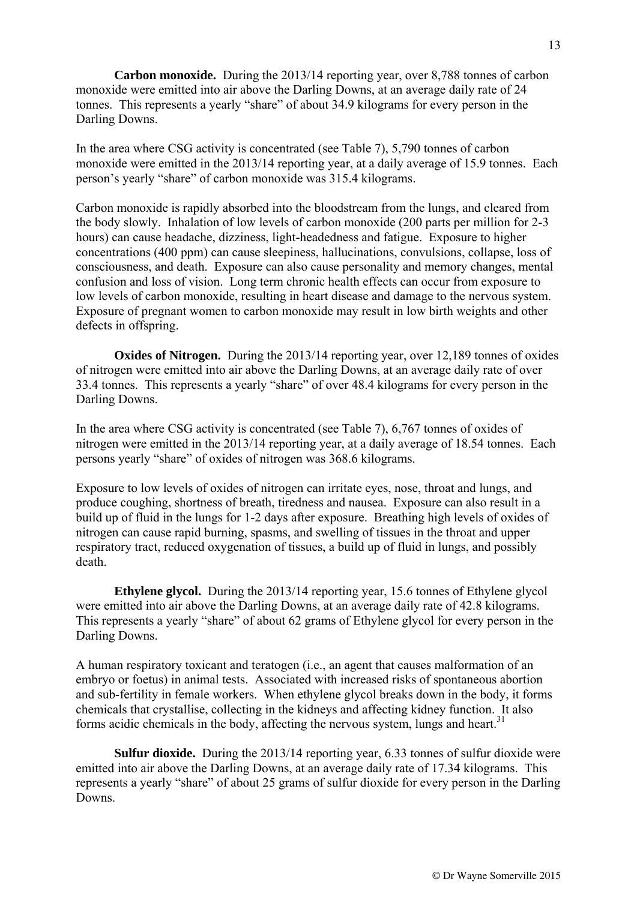**Carbon monoxide.** During the 2013/14 reporting year, over 8,788 tonnes of carbon monoxide were emitted into air above the Darling Downs, at an average daily rate of 24 tonnes. This represents a yearly "share" of about 34.9 kilograms for every person in the Darling Downs.

In the area where CSG activity is concentrated (see Table 7), 5,790 tonnes of carbon monoxide were emitted in the 2013/14 reporting year, at a daily average of 15.9 tonnes. Each person's yearly "share" of carbon monoxide was 315.4 kilograms.

Carbon monoxide is rapidly absorbed into the bloodstream from the lungs, and cleared from the body slowly. Inhalation of low levels of carbon monoxide (200 parts per million for 2-3 hours) can cause headache, dizziness, light-headedness and fatigue. Exposure to higher concentrations (400 ppm) can cause sleepiness, hallucinations, convulsions, collapse, loss of consciousness, and death. Exposure can also cause personality and memory changes, mental confusion and loss of vision. Long term chronic health effects can occur from exposure to low levels of carbon monoxide, resulting in heart disease and damage to the nervous system. Exposure of pregnant women to carbon monoxide may result in low birth weights and other defects in offspring.

**Oxides of Nitrogen.** During the 2013/14 reporting year, over 12,189 tonnes of oxides of nitrogen were emitted into air above the Darling Downs, at an average daily rate of over 33.4 tonnes. This represents a yearly "share" of over 48.4 kilograms for every person in the Darling Downs.

In the area where CSG activity is concentrated (see Table 7), 6,767 tonnes of oxides of nitrogen were emitted in the 2013/14 reporting year, at a daily average of 18.54 tonnes. Each persons yearly "share" of oxides of nitrogen was 368.6 kilograms.

Exposure to low levels of oxides of nitrogen can irritate eyes, nose, throat and lungs, and produce coughing, shortness of breath, tiredness and nausea. Exposure can also result in a build up of fluid in the lungs for 1-2 days after exposure. Breathing high levels of oxides of nitrogen can cause rapid burning, spasms, and swelling of tissues in the throat and upper respiratory tract, reduced oxygenation of tissues, a build up of fluid in lungs, and possibly death.

**Ethylene glycol.** During the 2013/14 reporting year, 15.6 tonnes of Ethylene glycol were emitted into air above the Darling Downs, at an average daily rate of 42.8 kilograms. This represents a yearly "share" of about 62 grams of Ethylene glycol for every person in the Darling Downs.

A human respiratory toxicant and teratogen (i.e., an agent that causes malformation of an embryo or foetus) in animal tests. Associated with increased risks of spontaneous abortion and sub-fertility in female workers. When ethylene glycol breaks down in the body, it forms chemicals that crystallise, collecting in the kidneys and affecting kidney function. It also forms acidic chemicals in the body, affecting the nervous system, lungs and heart.<sup>31</sup>

**Sulfur dioxide.** During the 2013/14 reporting year, 6.33 tonnes of sulfur dioxide were emitted into air above the Darling Downs, at an average daily rate of 17.34 kilograms. This represents a yearly "share" of about 25 grams of sulfur dioxide for every person in the Darling Downs.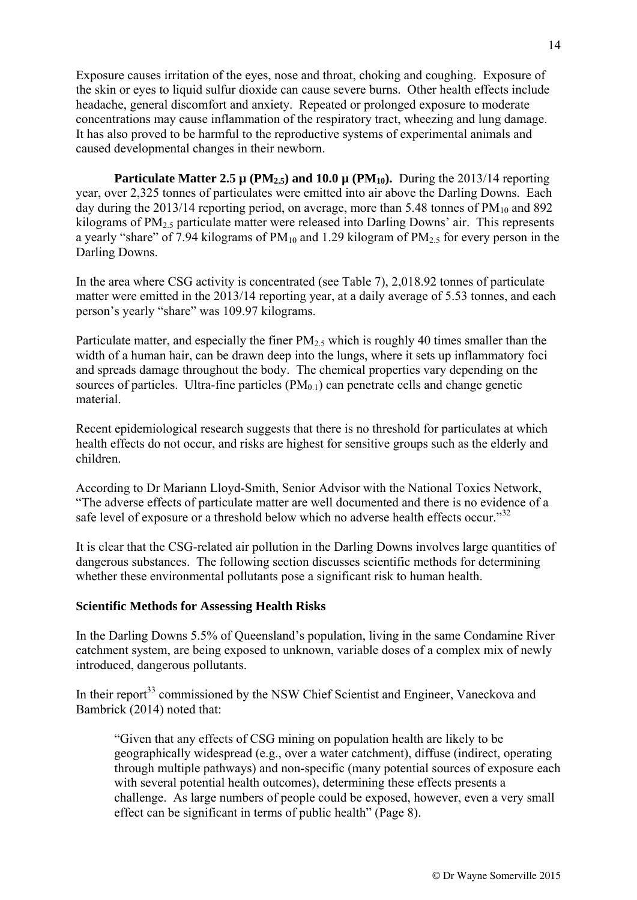Exposure causes irritation of the eyes, nose and throat, choking and coughing. Exposure of the skin or eyes to liquid sulfur dioxide can cause severe burns. Other health effects include headache, general discomfort and anxiety. Repeated or prolonged exposure to moderate concentrations may cause inflammation of the respiratory tract, wheezing and lung damage. It has also proved to be harmful to the reproductive systems of experimental animals and caused developmental changes in their newborn.

**Particulate Matter 2.5**  $\mu$  **(PM<sub>2.5</sub>) and 10.0**  $\mu$  **(PM<sub>10</sub>).** During the 2013/14 reporting year, over 2,325 tonnes of particulates were emitted into air above the Darling Downs. Each day during the 2013/14 reporting period, on average, more than 5.48 tonnes of  $PM_{10}$  and 892 kilograms of PM<sub>2.5</sub> particulate matter were released into Darling Downs' air. This represents a yearly "share" of 7.94 kilograms of  $PM_{10}$  and 1.29 kilogram of  $PM_{2.5}$  for every person in the Darling Downs.

In the area where CSG activity is concentrated (see Table 7), 2,018.92 tonnes of particulate matter were emitted in the 2013/14 reporting year, at a daily average of 5.53 tonnes, and each person's yearly "share" was 109.97 kilograms.

Particulate matter, and especially the finer  $PM_{2.5}$  which is roughly 40 times smaller than the width of a human hair, can be drawn deep into the lungs, where it sets up inflammatory foci and spreads damage throughout the body. The chemical properties vary depending on the sources of particles. Ultra-fine particles  $(PM_{0,1})$  can penetrate cells and change genetic material.

Recent epidemiological research suggests that there is no threshold for particulates at which health effects do not occur, and risks are highest for sensitive groups such as the elderly and children.

According to Dr Mariann Lloyd-Smith, Senior Advisor with the National Toxics Network, "The adverse effects of particulate matter are well documented and there is no evidence of a safe level of exposure or a threshold below which no adverse health effects occur."<sup>32</sup>

It is clear that the CSG-related air pollution in the Darling Downs involves large quantities of dangerous substances. The following section discusses scientific methods for determining whether these environmental pollutants pose a significant risk to human health.

#### **Scientific Methods for Assessing Health Risks**

In the Darling Downs 5.5% of Queensland's population, living in the same Condamine River catchment system, are being exposed to unknown, variable doses of a complex mix of newly introduced, dangerous pollutants.

In their report<sup>33</sup> commissioned by the NSW Chief Scientist and Engineer, Vaneckova and Bambrick (2014) noted that:

"Given that any effects of CSG mining on population health are likely to be geographically widespread (e.g., over a water catchment), diffuse (indirect, operating through multiple pathways) and non-specific (many potential sources of exposure each with several potential health outcomes), determining these effects presents a challenge. As large numbers of people could be exposed, however, even a very small effect can be significant in terms of public health" (Page 8).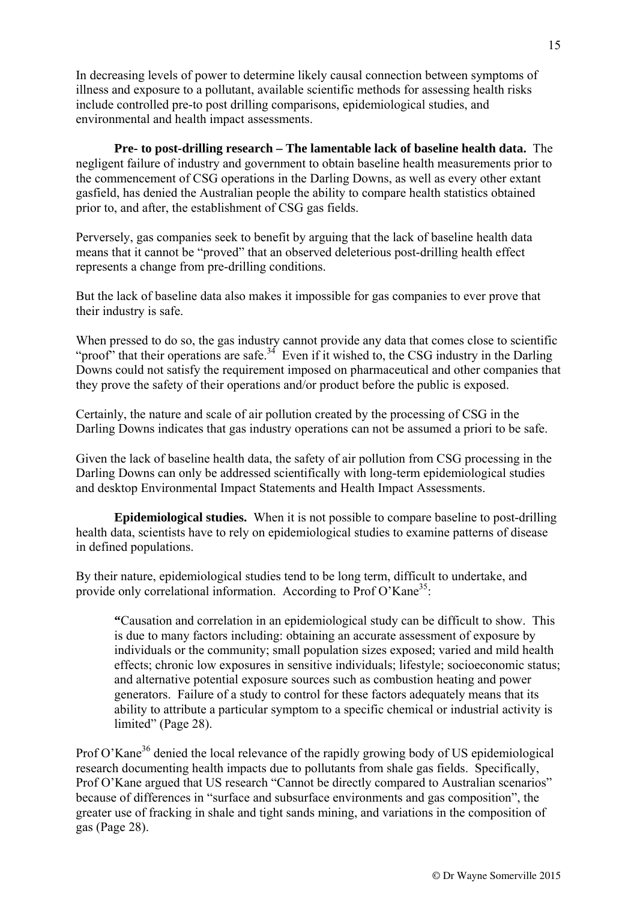In decreasing levels of power to determine likely causal connection between symptoms of illness and exposure to a pollutant, available scientific methods for assessing health risks include controlled pre-to post drilling comparisons, epidemiological studies, and environmental and health impact assessments.

**Pre- to post-drilling research – The lamentable lack of baseline health data.** The negligent failure of industry and government to obtain baseline health measurements prior to the commencement of CSG operations in the Darling Downs, as well as every other extant gasfield, has denied the Australian people the ability to compare health statistics obtained prior to, and after, the establishment of CSG gas fields.

Perversely, gas companies seek to benefit by arguing that the lack of baseline health data means that it cannot be "proved" that an observed deleterious post-drilling health effect represents a change from pre-drilling conditions.

But the lack of baseline data also makes it impossible for gas companies to ever prove that their industry is safe.

When pressed to do so, the gas industry cannot provide any data that comes close to scientific "proof" that their operations are safe.<sup>34</sup> Even if it wished to, the CSG industry in the Darling Downs could not satisfy the requirement imposed on pharmaceutical and other companies that they prove the safety of their operations and/or product before the public is exposed.

Certainly, the nature and scale of air pollution created by the processing of CSG in the Darling Downs indicates that gas industry operations can not be assumed a priori to be safe.

Given the lack of baseline health data, the safety of air pollution from CSG processing in the Darling Downs can only be addressed scientifically with long-term epidemiological studies and desktop Environmental Impact Statements and Health Impact Assessments.

**Epidemiological studies.** When it is not possible to compare baseline to post-drilling health data, scientists have to rely on epidemiological studies to examine patterns of disease in defined populations.

By their nature, epidemiological studies tend to be long term, difficult to undertake, and provide only correlational information. According to Prof O'Kane<sup>35</sup>:

**"**Causation and correlation in an epidemiological study can be difficult to show. This is due to many factors including: obtaining an accurate assessment of exposure by individuals or the community; small population sizes exposed; varied and mild health effects; chronic low exposures in sensitive individuals; lifestyle; socioeconomic status; and alternative potential exposure sources such as combustion heating and power generators. Failure of a study to control for these factors adequately means that its ability to attribute a particular symptom to a specific chemical or industrial activity is limited" (Page 28).

Prof O'Kane<sup>36</sup> denied the local relevance of the rapidly growing body of US epidemiological research documenting health impacts due to pollutants from shale gas fields. Specifically, Prof O'Kane argued that US research "Cannot be directly compared to Australian scenarios" because of differences in "surface and subsurface environments and gas composition", the greater use of fracking in shale and tight sands mining, and variations in the composition of gas (Page 28).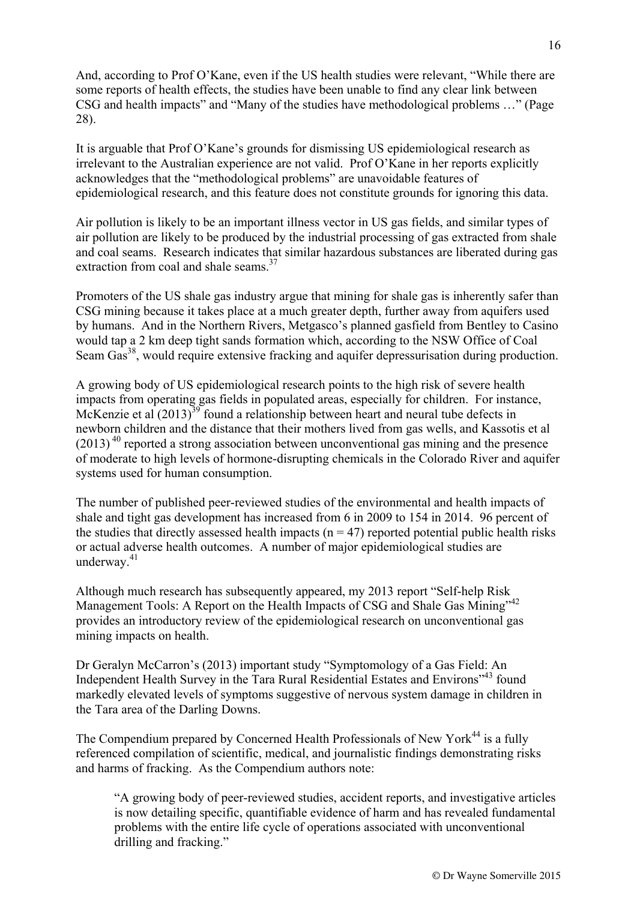And, according to Prof O'Kane, even if the US health studies were relevant, "While there are some reports of health effects, the studies have been unable to find any clear link between CSG and health impacts" and "Many of the studies have methodological problems …" (Page 28).

It is arguable that Prof O'Kane's grounds for dismissing US epidemiological research as irrelevant to the Australian experience are not valid. Prof O'Kane in her reports explicitly acknowledges that the "methodological problems" are unavoidable features of epidemiological research, and this feature does not constitute grounds for ignoring this data.

Air pollution is likely to be an important illness vector in US gas fields, and similar types of air pollution are likely to be produced by the industrial processing of gas extracted from shale and coal seams. Research indicates that similar hazardous substances are liberated during gas extraction from coal and shale seams.<sup>37</sup>

Promoters of the US shale gas industry argue that mining for shale gas is inherently safer than CSG mining because it takes place at a much greater depth, further away from aquifers used by humans. And in the Northern Rivers, Metgasco's planned gasfield from Bentley to Casino would tap a 2 km deep tight sands formation which, according to the NSW Office of Coal Seam Gas<sup>38</sup>, would require extensive fracking and aquifer depressurisation during production.

A growing body of US epidemiological research points to the high risk of severe health impacts from operating gas fields in populated areas, especially for children. For instance, McKenzie et al  $(2013)^{39}$  found a relationship between heart and neural tube defects in newborn children and the distance that their mothers lived from gas wells, and Kassotis et al  $(2013)^{40}$  reported a strong association between unconventional gas mining and the presence of moderate to high levels of hormone-disrupting chemicals in the Colorado River and aquifer systems used for human consumption.

The number of published peer-reviewed studies of the environmental and health impacts of shale and tight gas development has increased from 6 in 2009 to 154 in 2014. 96 percent of the studies that directly assessed health impacts ( $n = 47$ ) reported potential public health risks or actual adverse health outcomes. A number of major epidemiological studies are underway.<sup>41</sup>

Although much research has subsequently appeared, my 2013 report "Self-help Risk Management Tools: A Report on the Health Impacts of CSG and Shale Gas Mining"42 provides an introductory review of the epidemiological research on unconventional gas mining impacts on health.

Dr Geralyn McCarron's (2013) important study "Symptomology of a Gas Field: An Independent Health Survey in the Tara Rural Residential Estates and Environs"43 found markedly elevated levels of symptoms suggestive of nervous system damage in children in the Tara area of the Darling Downs.

The Compendium prepared by Concerned Health Professionals of New York<sup>44</sup> is a fully referenced compilation of scientific, medical, and journalistic findings demonstrating risks and harms of fracking. As the Compendium authors note:

"A growing body of peer-reviewed studies, accident reports, and investigative articles is now detailing specific, quantifiable evidence of harm and has revealed fundamental problems with the entire life cycle of operations associated with unconventional drilling and fracking."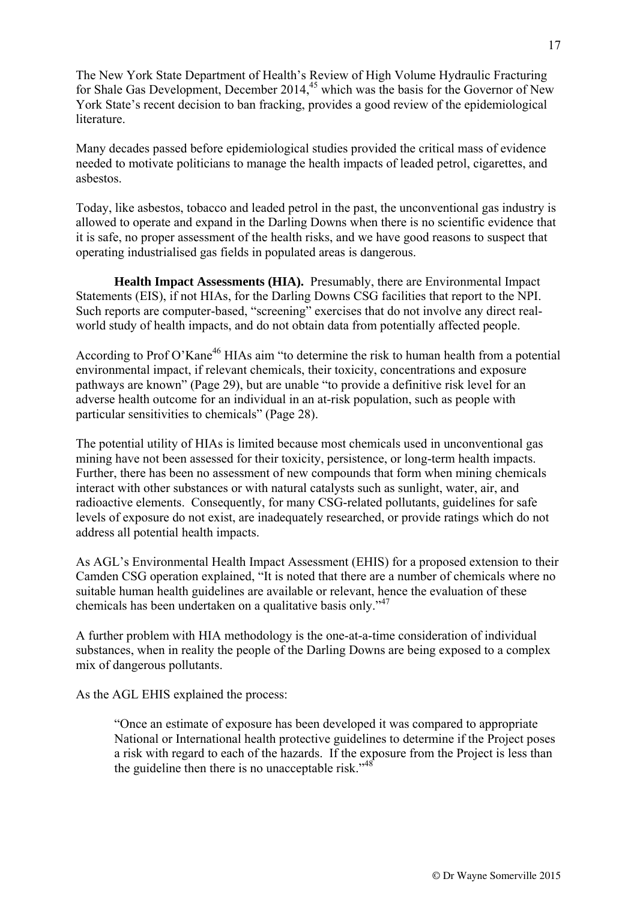The New York State Department of Health's Review of High Volume Hydraulic Fracturing for Shale Gas Development, December  $2014<sup>45</sup>$  which was the basis for the Governor of New York State's recent decision to ban fracking, provides a good review of the epidemiological literature.

Many decades passed before epidemiological studies provided the critical mass of evidence needed to motivate politicians to manage the health impacts of leaded petrol, cigarettes, and asbestos.

Today, like asbestos, tobacco and leaded petrol in the past, the unconventional gas industry is allowed to operate and expand in the Darling Downs when there is no scientific evidence that it is safe, no proper assessment of the health risks, and we have good reasons to suspect that operating industrialised gas fields in populated areas is dangerous.

**Health Impact Assessments (HIA).** Presumably, there are Environmental Impact Statements (EIS), if not HIAs, for the Darling Downs CSG facilities that report to the NPI. Such reports are computer-based, "screening" exercises that do not involve any direct realworld study of health impacts, and do not obtain data from potentially affected people.

According to Prof O'Kane<sup>46</sup> HIAs aim "to determine the risk to human health from a potential environmental impact, if relevant chemicals, their toxicity, concentrations and exposure pathways are known" (Page 29), but are unable "to provide a definitive risk level for an adverse health outcome for an individual in an at-risk population, such as people with particular sensitivities to chemicals" (Page 28).

The potential utility of HIAs is limited because most chemicals used in unconventional gas mining have not been assessed for their toxicity, persistence, or long-term health impacts. Further, there has been no assessment of new compounds that form when mining chemicals interact with other substances or with natural catalysts such as sunlight, water, air, and radioactive elements. Consequently, for many CSG-related pollutants, guidelines for safe levels of exposure do not exist, are inadequately researched, or provide ratings which do not address all potential health impacts.

As AGL's Environmental Health Impact Assessment (EHIS) for a proposed extension to their Camden CSG operation explained, "It is noted that there are a number of chemicals where no suitable human health guidelines are available or relevant, hence the evaluation of these chemicals has been undertaken on a qualitative basis only."47

A further problem with HIA methodology is the one-at-a-time consideration of individual substances, when in reality the people of the Darling Downs are being exposed to a complex mix of dangerous pollutants.

As the AGL EHIS explained the process:

"Once an estimate of exposure has been developed it was compared to appropriate National or International health protective guidelines to determine if the Project poses a risk with regard to each of the hazards. If the exposure from the Project is less than the guideline then there is no unacceptable risk. $148$ <sup>48</sup>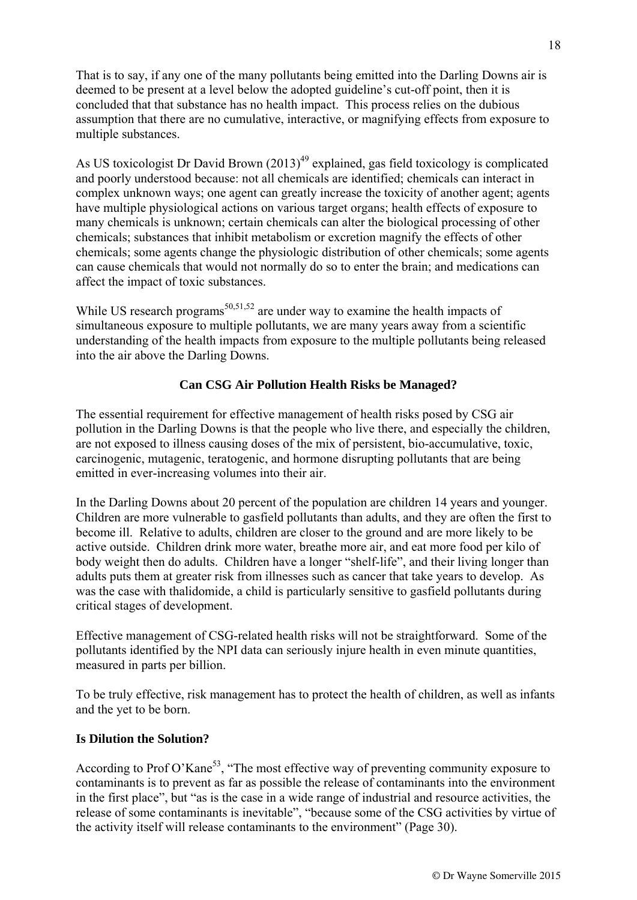That is to say, if any one of the many pollutants being emitted into the Darling Downs air is deemed to be present at a level below the adopted guideline's cut-off point, then it is concluded that that substance has no health impact. This process relies on the dubious assumption that there are no cumulative, interactive, or magnifying effects from exposure to multiple substances.

As US toxicologist Dr David Brown  $(2013)^{49}$  explained, gas field toxicology is complicated and poorly understood because: not all chemicals are identified; chemicals can interact in complex unknown ways; one agent can greatly increase the toxicity of another agent; agents have multiple physiological actions on various target organs; health effects of exposure to many chemicals is unknown; certain chemicals can alter the biological processing of other chemicals; substances that inhibit metabolism or excretion magnify the effects of other chemicals; some agents change the physiologic distribution of other chemicals; some agents can cause chemicals that would not normally do so to enter the brain; and medications can affect the impact of toxic substances.

While US research programs<sup>50,51,52</sup> are under way to examine the health impacts of simultaneous exposure to multiple pollutants, we are many years away from a scientific understanding of the health impacts from exposure to the multiple pollutants being released into the air above the Darling Downs.

### **Can CSG Air Pollution Health Risks be Managed?**

The essential requirement for effective management of health risks posed by CSG air pollution in the Darling Downs is that the people who live there, and especially the children, are not exposed to illness causing doses of the mix of persistent, bio-accumulative, toxic, carcinogenic, mutagenic, teratogenic, and hormone disrupting pollutants that are being emitted in ever-increasing volumes into their air.

In the Darling Downs about 20 percent of the population are children 14 years and younger. Children are more vulnerable to gasfield pollutants than adults, and they are often the first to become ill. Relative to adults, children are closer to the ground and are more likely to be active outside. Children drink more water, breathe more air, and eat more food per kilo of body weight then do adults. Children have a longer "shelf-life", and their living longer than adults puts them at greater risk from illnesses such as cancer that take years to develop. As was the case with thalidomide, a child is particularly sensitive to gasfield pollutants during critical stages of development.

Effective management of CSG-related health risks will not be straightforward. Some of the pollutants identified by the NPI data can seriously injure health in even minute quantities, measured in parts per billion.

To be truly effective, risk management has to protect the health of children, as well as infants and the yet to be born.

#### **Is Dilution the Solution?**

According to Prof O'Kane<sup>53</sup>, "The most effective way of preventing community exposure to contaminants is to prevent as far as possible the release of contaminants into the environment in the first place", but "as is the case in a wide range of industrial and resource activities, the release of some contaminants is inevitable", "because some of the CSG activities by virtue of the activity itself will release contaminants to the environment" (Page 30).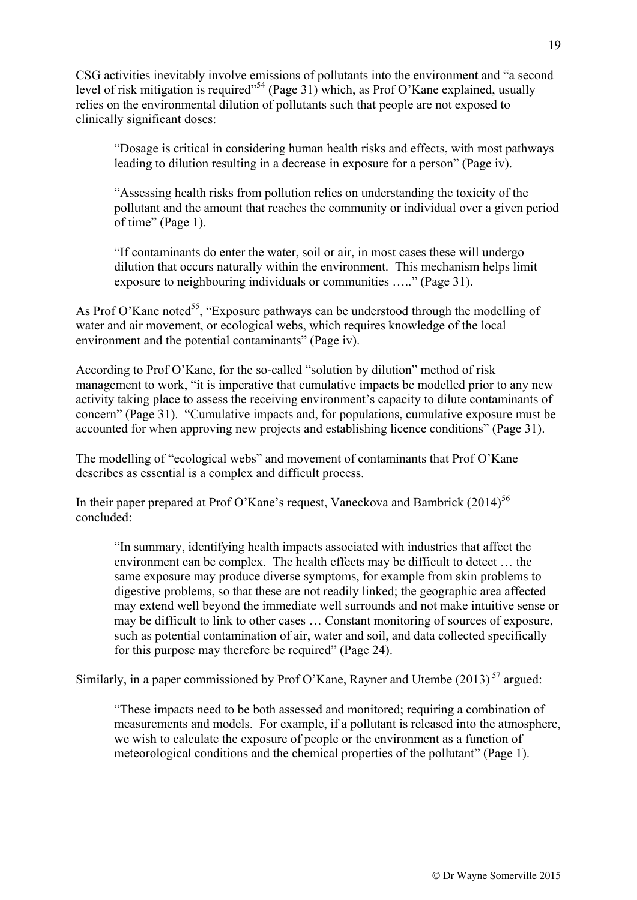CSG activities inevitably involve emissions of pollutants into the environment and "a second level of risk mitigation is required"<sup>54</sup> (Page 31) which, as Prof O'Kane explained, usually relies on the environmental dilution of pollutants such that people are not exposed to clinically significant doses:

"Dosage is critical in considering human health risks and effects, with most pathways leading to dilution resulting in a decrease in exposure for a person" (Page iv).

"Assessing health risks from pollution relies on understanding the toxicity of the pollutant and the amount that reaches the community or individual over a given period of time" (Page 1).

"If contaminants do enter the water, soil or air, in most cases these will undergo dilution that occurs naturally within the environment. This mechanism helps limit exposure to neighbouring individuals or communities ….." (Page 31).

As Prof O'Kane noted<sup>55</sup>, "Exposure pathways can be understood through the modelling of water and air movement, or ecological webs, which requires knowledge of the local environment and the potential contaminants" (Page iv).

According to Prof O'Kane, for the so-called "solution by dilution" method of risk management to work, "it is imperative that cumulative impacts be modelled prior to any new activity taking place to assess the receiving environment's capacity to dilute contaminants of concern" (Page 31). "Cumulative impacts and, for populations, cumulative exposure must be accounted for when approving new projects and establishing licence conditions" (Page 31).

The modelling of "ecological webs" and movement of contaminants that Prof O'Kane describes as essential is a complex and difficult process.

In their paper prepared at Prof O'Kane's request, Vaneckova and Bambrick  $(2014)^{56}$ concluded:

"In summary, identifying health impacts associated with industries that affect the environment can be complex. The health effects may be difficult to detect … the same exposure may produce diverse symptoms, for example from skin problems to digestive problems, so that these are not readily linked; the geographic area affected may extend well beyond the immediate well surrounds and not make intuitive sense or may be difficult to link to other cases … Constant monitoring of sources of exposure, such as potential contamination of air, water and soil, and data collected specifically for this purpose may therefore be required" (Page 24).

Similarly, in a paper commissioned by Prof O'Kane, Rayner and Utembe  $(2013)^{57}$  argued:

"These impacts need to be both assessed and monitored; requiring a combination of measurements and models. For example, if a pollutant is released into the atmosphere, we wish to calculate the exposure of people or the environment as a function of meteorological conditions and the chemical properties of the pollutant" (Page 1).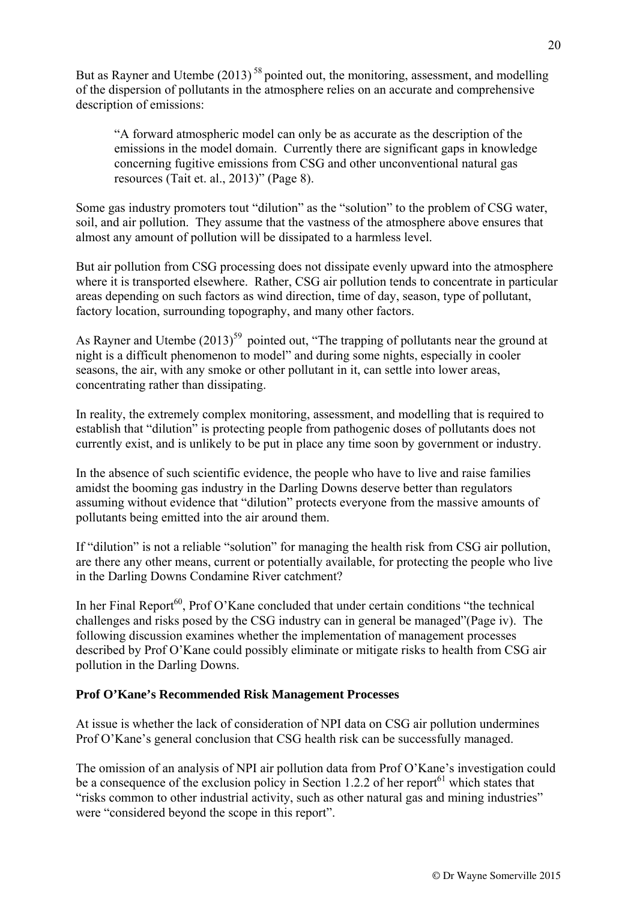But as Rayner and Utembe  $(2013)^{58}$  pointed out, the monitoring, assessment, and modelling of the dispersion of pollutants in the atmosphere relies on an accurate and comprehensive description of emissions:

"A forward atmospheric model can only be as accurate as the description of the emissions in the model domain. Currently there are significant gaps in knowledge concerning fugitive emissions from CSG and other unconventional natural gas resources (Tait et. al., 2013)" (Page 8).

Some gas industry promoters tout "dilution" as the "solution" to the problem of CSG water, soil, and air pollution. They assume that the vastness of the atmosphere above ensures that almost any amount of pollution will be dissipated to a harmless level.

But air pollution from CSG processing does not dissipate evenly upward into the atmosphere where it is transported elsewhere. Rather, CSG air pollution tends to concentrate in particular areas depending on such factors as wind direction, time of day, season, type of pollutant, factory location, surrounding topography, and many other factors.

As Rayner and Utembe  $(2013)^{59}$  pointed out, "The trapping of pollutants near the ground at night is a difficult phenomenon to model" and during some nights, especially in cooler seasons, the air, with any smoke or other pollutant in it, can settle into lower areas, concentrating rather than dissipating.

In reality, the extremely complex monitoring, assessment, and modelling that is required to establish that "dilution" is protecting people from pathogenic doses of pollutants does not currently exist, and is unlikely to be put in place any time soon by government or industry.

In the absence of such scientific evidence, the people who have to live and raise families amidst the booming gas industry in the Darling Downs deserve better than regulators assuming without evidence that "dilution" protects everyone from the massive amounts of pollutants being emitted into the air around them.

If "dilution" is not a reliable "solution" for managing the health risk from CSG air pollution, are there any other means, current or potentially available, for protecting the people who live in the Darling Downs Condamine River catchment?

In her Final Report<sup>60</sup>, Prof O'Kane concluded that under certain conditions "the technical challenges and risks posed by the CSG industry can in general be managed"(Page iv). The following discussion examines whether the implementation of management processes described by Prof O'Kane could possibly eliminate or mitigate risks to health from CSG air pollution in the Darling Downs.

#### **Prof O'Kane's Recommended Risk Management Processes**

At issue is whether the lack of consideration of NPI data on CSG air pollution undermines Prof O'Kane's general conclusion that CSG health risk can be successfully managed.

The omission of an analysis of NPI air pollution data from Prof O'Kane's investigation could be a consequence of the exclusion policy in Section 1.2.2 of her report<sup>61</sup> which states that "risks common to other industrial activity, such as other natural gas and mining industries" were "considered beyond the scope in this report".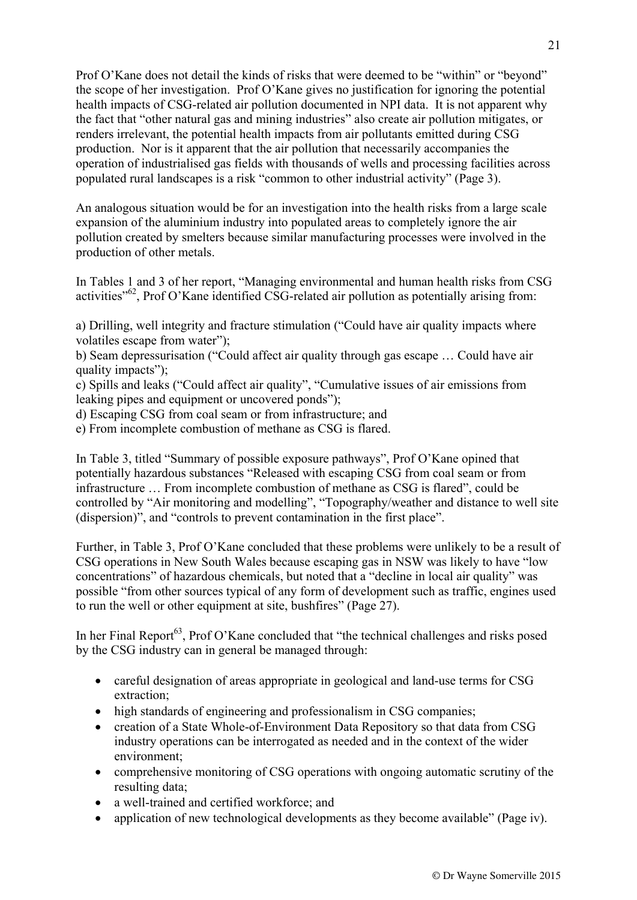Prof O'Kane does not detail the kinds of risks that were deemed to be "within" or "beyond" the scope of her investigation. Prof O'Kane gives no justification for ignoring the potential health impacts of CSG-related air pollution documented in NPI data. It is not apparent why the fact that "other natural gas and mining industries" also create air pollution mitigates, or renders irrelevant, the potential health impacts from air pollutants emitted during CSG production. Nor is it apparent that the air pollution that necessarily accompanies the operation of industrialised gas fields with thousands of wells and processing facilities across populated rural landscapes is a risk "common to other industrial activity" (Page 3).

An analogous situation would be for an investigation into the health risks from a large scale expansion of the aluminium industry into populated areas to completely ignore the air pollution created by smelters because similar manufacturing processes were involved in the production of other metals.

In Tables 1 and 3 of her report, "Managing environmental and human health risks from CSG activities<sup>"62</sup>, Prof O'Kane identified CSG-related air pollution as potentially arising from:

a) Drilling, well integrity and fracture stimulation ("Could have air quality impacts where volatiles escape from water");

b) Seam depressurisation ("Could affect air quality through gas escape … Could have air quality impacts"):

c) Spills and leaks ("Could affect air quality", "Cumulative issues of air emissions from leaking pipes and equipment or uncovered ponds");

d) Escaping CSG from coal seam or from infrastructure; and

e) From incomplete combustion of methane as CSG is flared.

In Table 3, titled "Summary of possible exposure pathways", Prof O'Kane opined that potentially hazardous substances "Released with escaping CSG from coal seam or from infrastructure … From incomplete combustion of methane as CSG is flared", could be controlled by "Air monitoring and modelling", "Topography/weather and distance to well site (dispersion)", and "controls to prevent contamination in the first place".

Further, in Table 3, Prof O'Kane concluded that these problems were unlikely to be a result of CSG operations in New South Wales because escaping gas in NSW was likely to have "low concentrations" of hazardous chemicals, but noted that a "decline in local air quality" was possible "from other sources typical of any form of development such as traffic, engines used to run the well or other equipment at site, bushfires" (Page 27).

In her Final Report<sup>63</sup>, Prof O'Kane concluded that "the technical challenges and risks posed by the CSG industry can in general be managed through:

- careful designation of areas appropriate in geological and land-use terms for CSG extraction;
- high standards of engineering and professionalism in CSG companies;
- creation of a State Whole-of-Environment Data Repository so that data from CSG industry operations can be interrogated as needed and in the context of the wider environment;
- comprehensive monitoring of CSG operations with ongoing automatic scrutiny of the resulting data;
- a well-trained and certified workforce: and
- application of new technological developments as they become available" (Page iv).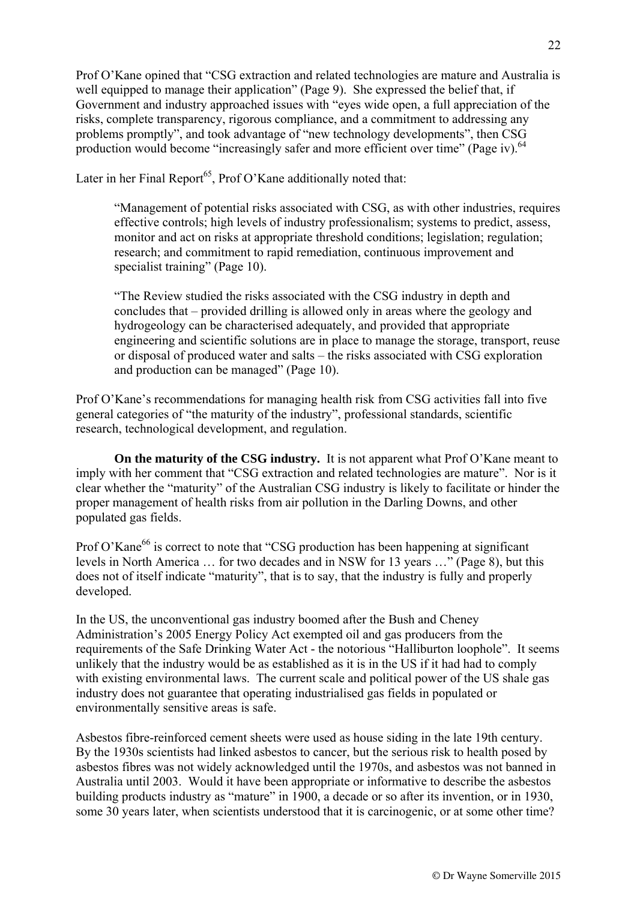Prof O'Kane opined that "CSG extraction and related technologies are mature and Australia is well equipped to manage their application" (Page 9). She expressed the belief that, if Government and industry approached issues with "eyes wide open, a full appreciation of the risks, complete transparency, rigorous compliance, and a commitment to addressing any problems promptly", and took advantage of "new technology developments", then CSG production would become "increasingly safer and more efficient over time" (Page iv).<sup>64</sup>

Later in her Final Report<sup>65</sup>, Prof O'Kane additionally noted that:

"Management of potential risks associated with CSG, as with other industries, requires effective controls; high levels of industry professionalism; systems to predict, assess, monitor and act on risks at appropriate threshold conditions; legislation; regulation; research; and commitment to rapid remediation, continuous improvement and specialist training" (Page 10).

"The Review studied the risks associated with the CSG industry in depth and concludes that – provided drilling is allowed only in areas where the geology and hydrogeology can be characterised adequately, and provided that appropriate engineering and scientific solutions are in place to manage the storage, transport, reuse or disposal of produced water and salts – the risks associated with CSG exploration and production can be managed" (Page 10).

Prof O'Kane's recommendations for managing health risk from CSG activities fall into five general categories of "the maturity of the industry", professional standards, scientific research, technological development, and regulation.

**On the maturity of the CSG industry.** It is not apparent what Prof O'Kane meant to imply with her comment that "CSG extraction and related technologies are mature". Nor is it clear whether the "maturity" of the Australian CSG industry is likely to facilitate or hinder the proper management of health risks from air pollution in the Darling Downs, and other populated gas fields.

Prof O'Kane<sup>66</sup> is correct to note that "CSG production has been happening at significant levels in North America … for two decades and in NSW for 13 years …" (Page 8), but this does not of itself indicate "maturity", that is to say, that the industry is fully and properly developed.

In the US, the unconventional gas industry boomed after the Bush and Cheney Administration's 2005 Energy Policy Act exempted oil and gas producers from the requirements of the Safe Drinking Water Act - the notorious "Halliburton loophole". It seems unlikely that the industry would be as established as it is in the US if it had had to comply with existing environmental laws. The current scale and political power of the US shale gas industry does not guarantee that operating industrialised gas fields in populated or environmentally sensitive areas is safe.

Asbestos fibre-reinforced cement sheets were used as house siding in the late 19th century. By the 1930s scientists had linked asbestos to cancer, but the serious risk to health posed by asbestos fibres was not widely acknowledged until the 1970s, and asbestos was not banned in Australia until 2003. Would it have been appropriate or informative to describe the asbestos building products industry as "mature" in 1900, a decade or so after its invention, or in 1930, some 30 years later, when scientists understood that it is carcinogenic, or at some other time?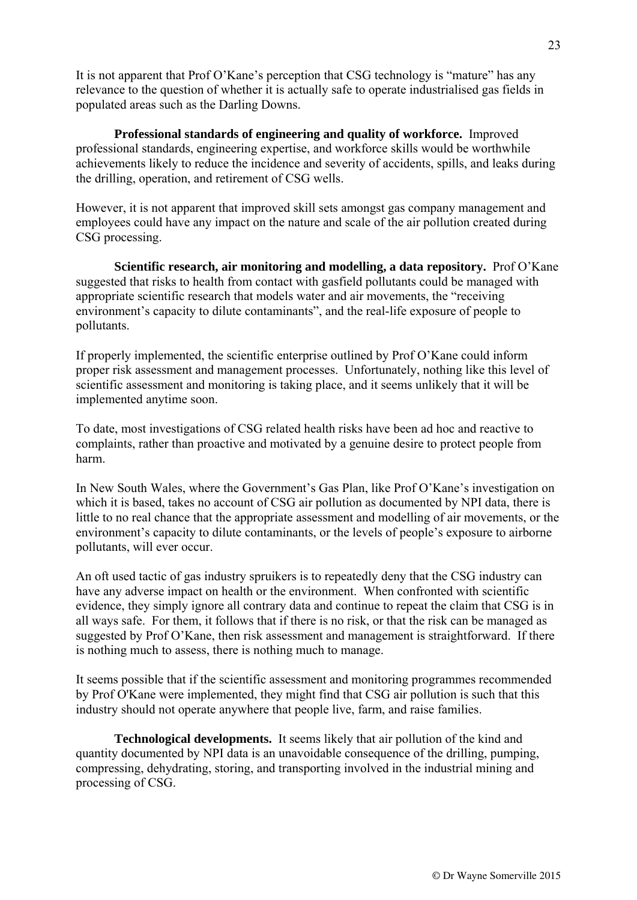It is not apparent that Prof O'Kane's perception that CSG technology is "mature" has any relevance to the question of whether it is actually safe to operate industrialised gas fields in populated areas such as the Darling Downs.

**Professional standards of engineering and quality of workforce.** Improved professional standards, engineering expertise, and workforce skills would be worthwhile achievements likely to reduce the incidence and severity of accidents, spills, and leaks during the drilling, operation, and retirement of CSG wells.

However, it is not apparent that improved skill sets amongst gas company management and employees could have any impact on the nature and scale of the air pollution created during CSG processing.

**Scientific research, air monitoring and modelling, a data repository.** Prof O'Kane suggested that risks to health from contact with gasfield pollutants could be managed with appropriate scientific research that models water and air movements, the "receiving environment's capacity to dilute contaminants", and the real-life exposure of people to pollutants.

If properly implemented, the scientific enterprise outlined by Prof O'Kane could inform proper risk assessment and management processes. Unfortunately, nothing like this level of scientific assessment and monitoring is taking place, and it seems unlikely that it will be implemented anytime soon.

To date, most investigations of CSG related health risks have been ad hoc and reactive to complaints, rather than proactive and motivated by a genuine desire to protect people from harm.

In New South Wales, where the Government's Gas Plan, like Prof O'Kane's investigation on which it is based, takes no account of CSG air pollution as documented by NPI data, there is little to no real chance that the appropriate assessment and modelling of air movements, or the environment's capacity to dilute contaminants, or the levels of people's exposure to airborne pollutants, will ever occur.

An oft used tactic of gas industry spruikers is to repeatedly deny that the CSG industry can have any adverse impact on health or the environment. When confronted with scientific evidence, they simply ignore all contrary data and continue to repeat the claim that CSG is in all ways safe. For them, it follows that if there is no risk, or that the risk can be managed as suggested by Prof O'Kane, then risk assessment and management is straightforward. If there is nothing much to assess, there is nothing much to manage.

It seems possible that if the scientific assessment and monitoring programmes recommended by Prof O'Kane were implemented, they might find that CSG air pollution is such that this industry should not operate anywhere that people live, farm, and raise families.

**Technological developments.** It seems likely that air pollution of the kind and quantity documented by NPI data is an unavoidable consequence of the drilling, pumping, compressing, dehydrating, storing, and transporting involved in the industrial mining and processing of CSG.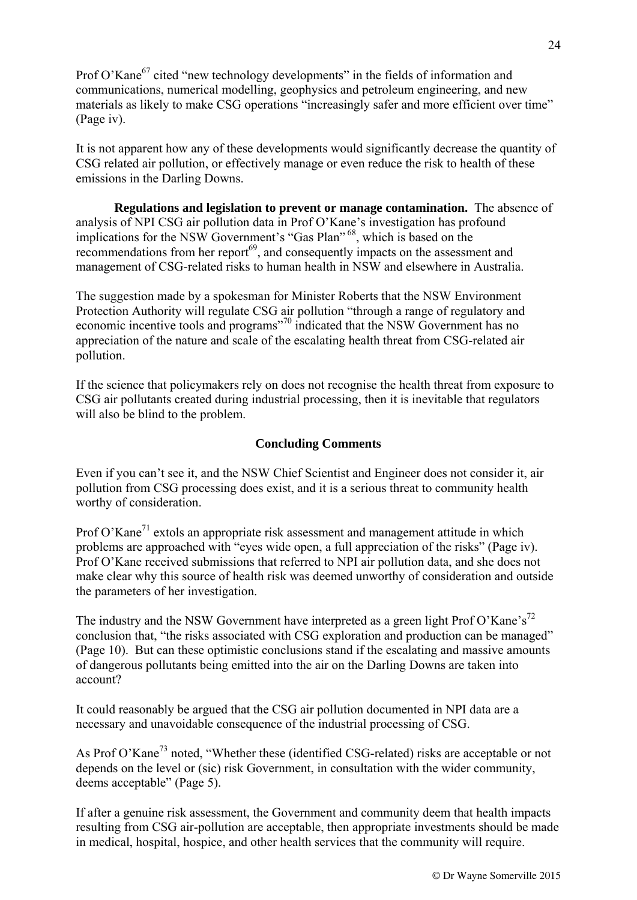Prof O'Kane<sup>67</sup> cited "new technology developments" in the fields of information and communications, numerical modelling, geophysics and petroleum engineering, and new materials as likely to make CSG operations "increasingly safer and more efficient over time" (Page iv).

It is not apparent how any of these developments would significantly decrease the quantity of CSG related air pollution, or effectively manage or even reduce the risk to health of these emissions in the Darling Downs.

**Regulations and legislation to prevent or manage contamination.** The absence of analysis of NPI CSG air pollution data in Prof O'Kane's investigation has profound implications for the NSW Government's "Gas Plan"<sup>68</sup>, which is based on the recommendations from her report<sup>69</sup>, and consequently impacts on the assessment and management of CSG-related risks to human health in NSW and elsewhere in Australia.

The suggestion made by a spokesman for Minister Roberts that the NSW Environment Protection Authority will regulate CSG air pollution "through a range of regulatory and economic incentive tools and programs<sup>"70</sup> indicated that the NSW Government has no appreciation of the nature and scale of the escalating health threat from CSG-related air pollution.

If the science that policymakers rely on does not recognise the health threat from exposure to CSG air pollutants created during industrial processing, then it is inevitable that regulators will also be blind to the problem.

#### **Concluding Comments**

Even if you can't see it, and the NSW Chief Scientist and Engineer does not consider it, air pollution from CSG processing does exist, and it is a serious threat to community health worthy of consideration.

Prof O'Kane<sup>71</sup> extols an appropriate risk assessment and management attitude in which problems are approached with "eyes wide open, a full appreciation of the risks" (Page iv). Prof O'Kane received submissions that referred to NPI air pollution data, and she does not make clear why this source of health risk was deemed unworthy of consideration and outside the parameters of her investigation.

The industry and the NSW Government have interpreted as a green light Prof O'Kane's<sup>72</sup> conclusion that, "the risks associated with CSG exploration and production can be managed" (Page 10). But can these optimistic conclusions stand if the escalating and massive amounts of dangerous pollutants being emitted into the air on the Darling Downs are taken into account?

It could reasonably be argued that the CSG air pollution documented in NPI data are a necessary and unavoidable consequence of the industrial processing of CSG.

As Prof O'Kane<sup>73</sup> noted, "Whether these (identified CSG-related) risks are acceptable or not depends on the level or (sic) risk Government, in consultation with the wider community, deems acceptable" (Page 5).

If after a genuine risk assessment, the Government and community deem that health impacts resulting from CSG air-pollution are acceptable, then appropriate investments should be made in medical, hospital, hospice, and other health services that the community will require.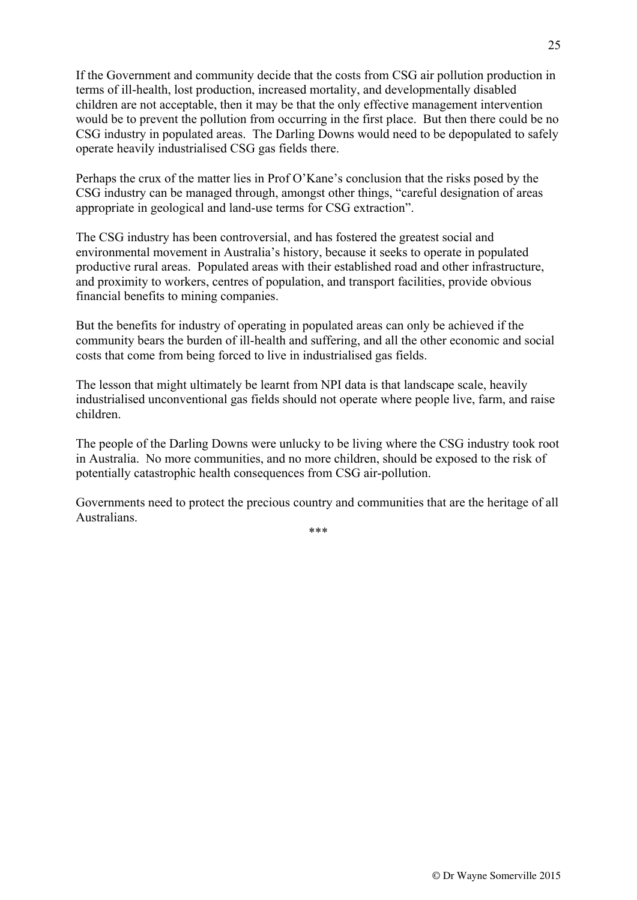If the Government and community decide that the costs from CSG air pollution production in terms of ill-health, lost production, increased mortality, and developmentally disabled children are not acceptable, then it may be that the only effective management intervention would be to prevent the pollution from occurring in the first place. But then there could be no CSG industry in populated areas. The Darling Downs would need to be depopulated to safely operate heavily industrialised CSG gas fields there.

Perhaps the crux of the matter lies in Prof O'Kane's conclusion that the risks posed by the CSG industry can be managed through, amongst other things, "careful designation of areas appropriate in geological and land-use terms for CSG extraction".

The CSG industry has been controversial, and has fostered the greatest social and environmental movement in Australia's history, because it seeks to operate in populated productive rural areas. Populated areas with their established road and other infrastructure, and proximity to workers, centres of population, and transport facilities, provide obvious financial benefits to mining companies.

But the benefits for industry of operating in populated areas can only be achieved if the community bears the burden of ill-health and suffering, and all the other economic and social costs that come from being forced to live in industrialised gas fields.

The lesson that might ultimately be learnt from NPI data is that landscape scale, heavily industrialised unconventional gas fields should not operate where people live, farm, and raise children.

The people of the Darling Downs were unlucky to be living where the CSG industry took root in Australia. No more communities, and no more children, should be exposed to the risk of potentially catastrophic health consequences from CSG air-pollution.

Governments need to protect the precious country and communities that are the heritage of all Australians.

.<br>ملا ملا مل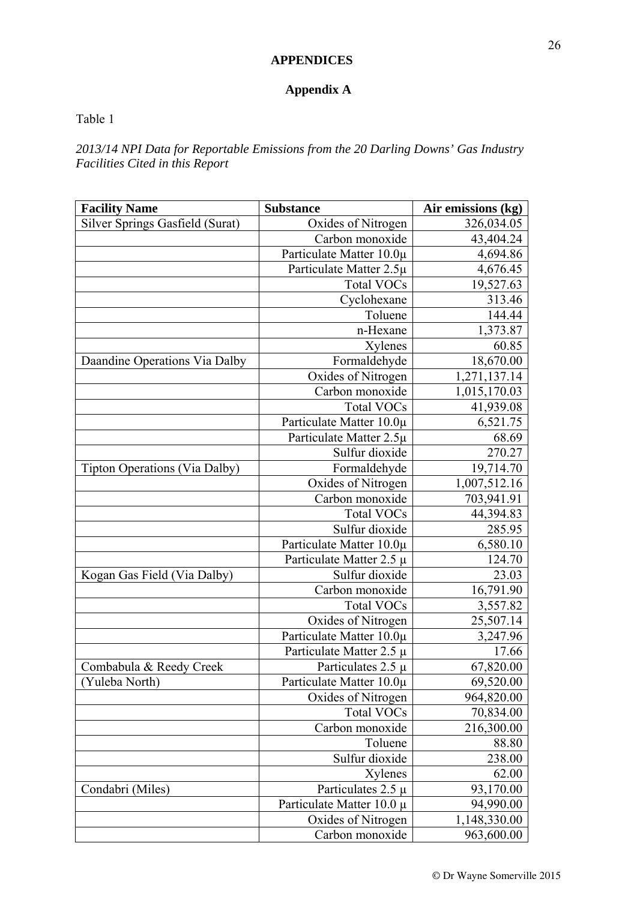## **APPENDICES**

## **Appendix A**

#### Table 1

*2013/14 NPI Data for Reportable Emissions from the 20 Darling Downs' Gas Industry Facilities Cited in this Report* 

| <b>Facility Name</b>                 | <b>Substance</b>          | Air emissions (kg) |
|--------------------------------------|---------------------------|--------------------|
| Silver Springs Gasfield (Surat)      | Oxides of Nitrogen        | 326,034.05         |
|                                      | Carbon monoxide           | 43,404.24          |
|                                      | Particulate Matter 10.0µ  | 4,694.86           |
|                                      | Particulate Matter 2.5µ   | 4,676.45           |
|                                      | <b>Total VOCs</b>         | 19,527.63          |
|                                      | Cyclohexane               | 313.46             |
|                                      | Toluene                   | 144.44             |
|                                      | n-Hexane                  | 1,373.87           |
|                                      | Xylenes                   | 60.85              |
| Daandine Operations Via Dalby        | Formaldehyde              | 18,670.00          |
|                                      | Oxides of Nitrogen        | 1,271,137.14       |
|                                      | Carbon monoxide           | 1,015,170.03       |
|                                      | <b>Total VOCs</b>         | 41,939.08          |
|                                      | Particulate Matter 10.0µ  | 6,521.75           |
|                                      | Particulate Matter 2.5µ   | 68.69              |
|                                      | Sulfur dioxide            | 270.27             |
| <b>Tipton Operations (Via Dalby)</b> | Formaldehyde              | 19,714.70          |
|                                      | Oxides of Nitrogen        | 1,007,512.16       |
|                                      | Carbon monoxide           | 703,941.91         |
|                                      | <b>Total VOCs</b>         | 44,394.83          |
|                                      | Sulfur dioxide            | 285.95             |
|                                      | Particulate Matter 10.0µ  | 6,580.10           |
|                                      | Particulate Matter 2.5 µ  | 124.70             |
| Kogan Gas Field (Via Dalby)          | Sulfur dioxide            | 23.03              |
|                                      | Carbon monoxide           | 16,791.90          |
|                                      | <b>Total VOCs</b>         | 3,557.82           |
|                                      | Oxides of Nitrogen        | 25,507.14          |
|                                      | Particulate Matter 10.0µ  | 3,247.96           |
|                                      | Particulate Matter 2.5 µ  | 17.66              |
| Combabula & Reedy Creek              | Particulates $2.5 \mu$    | 67,820.00          |
| Yuleba North)                        | Particulate Matter 10.0µ  | 69,520.00          |
|                                      | Oxides of Nitrogen        | 964,820.00         |
|                                      | <b>Total VOCs</b>         | 70,834.00          |
|                                      | Carbon monoxide           | 216,300.00         |
|                                      | Toluene                   | 88.80              |
|                                      | Sulfur dioxide            | 238.00             |
|                                      | Xylenes                   | 62.00              |
| Condabri (Miles)                     | Particulates 2.5 µ        | 93,170.00          |
|                                      | Particulate Matter 10.0 µ | 94,990.00          |
|                                      | Oxides of Nitrogen        | 1,148,330.00       |
|                                      | Carbon monoxide           | 963,600.00         |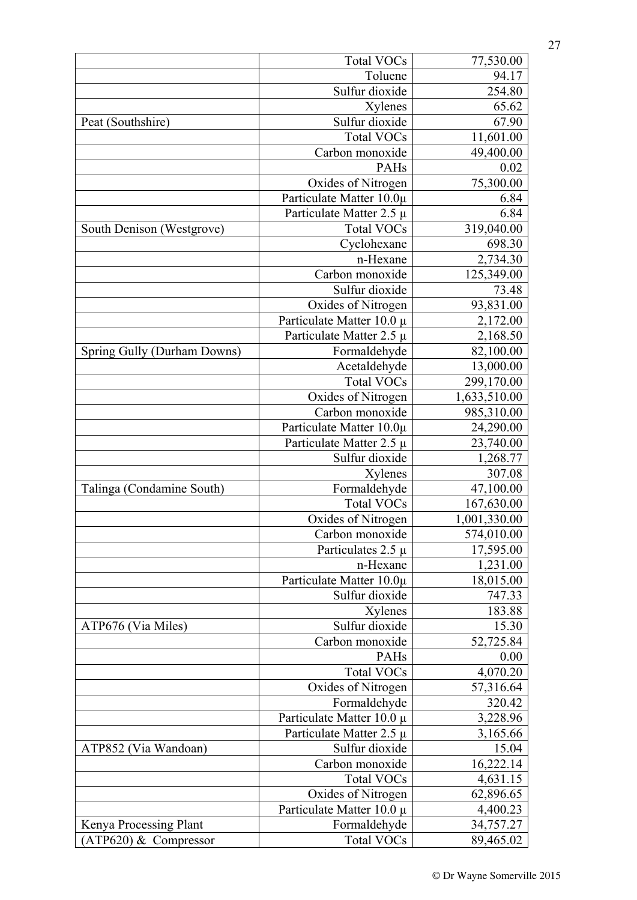|                             | <b>Total VOCs</b>         | 77,530.00    |
|-----------------------------|---------------------------|--------------|
|                             | Toluene                   | 94.17        |
|                             | Sulfur dioxide            | 254.80       |
|                             | Xylenes                   | 65.62        |
| Peat (Southshire)           | Sulfur dioxide            | 67.90        |
|                             | <b>Total VOCs</b>         | 11,601.00    |
|                             | Carbon monoxide           | 49,400.00    |
|                             | PAHs                      | 0.02         |
|                             | Oxides of Nitrogen        | 75,300.00    |
|                             | Particulate Matter 10.0µ  | 6.84         |
|                             | Particulate Matter 2.5 µ  | 6.84         |
| South Denison (Westgrove)   | <b>Total VOCs</b>         | 319,040.00   |
|                             | Cyclohexane               | 698.30       |
|                             | n-Hexane                  | 2,734.30     |
|                             | Carbon monoxide           | 125,349.00   |
|                             | Sulfur dioxide            | 73.48        |
|                             | Oxides of Nitrogen        | 93,831.00    |
|                             | Particulate Matter 10.0 µ | 2,172.00     |
|                             | Particulate Matter 2.5 µ  | 2,168.50     |
| Spring Gully (Durham Downs) | Formaldehyde              | 82,100.00    |
|                             | Acetaldehyde              | 13,000.00    |
|                             | <b>Total VOCs</b>         | 299,170.00   |
|                             | Oxides of Nitrogen        | 1,633,510.00 |
|                             | Carbon monoxide           | 985,310.00   |
|                             | Particulate Matter 10.0µ  | 24,290.00    |
|                             | Particulate Matter 2.5 µ  | 23,740.00    |
|                             | Sulfur dioxide            | 1,268.77     |
|                             | Xylenes                   | 307.08       |
| Talinga (Condamine South)   | Formaldehyde              | 47,100.00    |
|                             | <b>Total VOCs</b>         | 167,630.00   |
|                             | Oxides of Nitrogen        | 1,001,330.00 |
|                             | Carbon monoxide           | 574,010.00   |
|                             | Particulates $2.5 \mu$    | 17,595.00    |
|                             | n-Hexane                  | 1,231.00     |
|                             | Particulate Matter 10.0µ  | 18,015.00    |
|                             | Sulfur dioxide            | 747.33       |
|                             | Xylenes                   | 183.88       |
| ATP676 (Via Miles)          | Sulfur dioxide            | 15.30        |
|                             | Carbon monoxide           | 52,725.84    |
|                             | PAHs                      | 0.00         |
|                             | <b>Total VOCs</b>         | 4,070.20     |
|                             | Oxides of Nitrogen        | 57,316.64    |
|                             | Formaldehyde              | 320.42       |
|                             | Particulate Matter 10.0 µ | 3,228.96     |
|                             | Particulate Matter 2.5 µ  | 3,165.66     |
| ATP852 (Via Wandoan)        | Sulfur dioxide            | 15.04        |
|                             | Carbon monoxide           | 16,222.14    |
|                             | <b>Total VOCs</b>         | 4,631.15     |
|                             | Oxides of Nitrogen        | 62,896.65    |
|                             | Particulate Matter 10.0 µ | 4,400.23     |
| Kenya Processing Plant      | Formaldehyde              | 34,757.27    |
| $ATP620$ ) & Compressor     | Total VOCs                | 89,465.02    |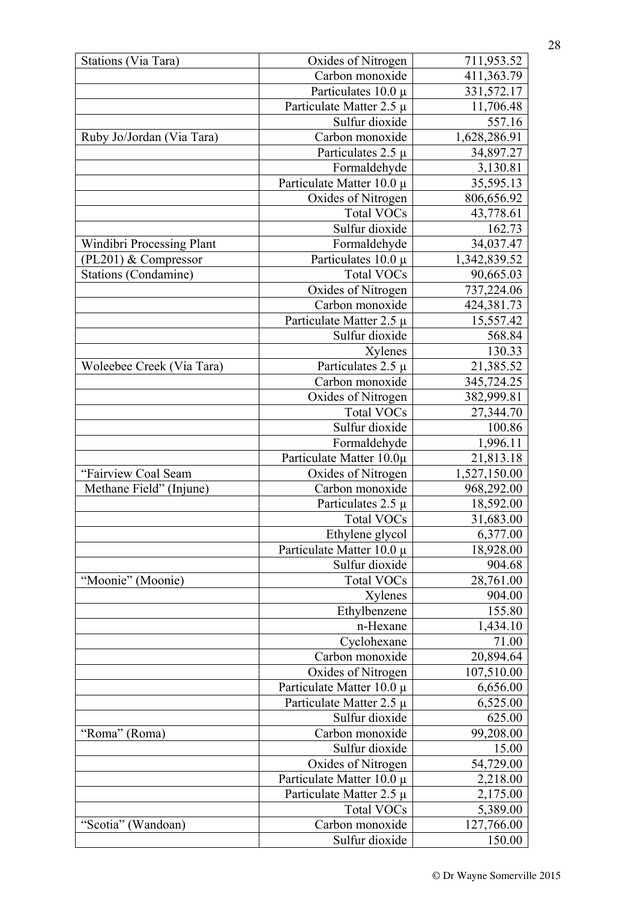| Stations (Via Tara)         | Oxides of Nitrogen                              | 711,953.52            |
|-----------------------------|-------------------------------------------------|-----------------------|
|                             | Carbon monoxide                                 | 411,363.79            |
|                             | Particulates $10.0 \mu$                         | 331,572.17            |
|                             | Particulate Matter 2.5 µ                        | 11,706.48             |
|                             | Sulfur dioxide                                  | 557.16                |
| Ruby Jo/Jordan (Via Tara)   | Carbon monoxide                                 | 1,628,286.91          |
|                             | Particulates 2.5 $\mu$                          | 34,897.27             |
|                             | Formaldehyde                                    | 3,130.81              |
|                             | Particulate Matter 10.0 µ                       | 35,595.13             |
|                             | Oxides of Nitrogen                              | 806,656.92            |
|                             | <b>Total VOCs</b>                               | 43,778.61             |
|                             | Sulfur dioxide                                  | 162.73                |
| Windibri Processing Plant   | Formaldehyde                                    | 34,037.47             |
| (PL201) & Compressor        | Particulates $10.0 \mu$                         | 1,342,839.52          |
| <b>Stations (Condamine)</b> | <b>Total VOCs</b>                               | 90,665.03             |
|                             | Oxides of Nitrogen                              | 737,224.06            |
|                             | Carbon monoxide                                 | 424,381.73            |
|                             | Particulate Matter 2.5 µ                        | 15,557.42             |
|                             | Sulfur dioxide                                  | 568.84                |
|                             | Xylenes                                         | 130.33                |
| Woleebee Creek (Via Tara)   | Particulates $2.5 \mu$                          | 21,385.52             |
|                             | Carbon monoxide                                 | 345,724.25            |
|                             | Oxides of Nitrogen                              | 382,999.81            |
|                             | <b>Total VOCs</b>                               | 27,344.70             |
|                             | Sulfur dioxide                                  | 100.86                |
|                             | Formaldehyde                                    | 1,996.11              |
|                             | Particulate Matter 10.0µ                        | 21,813.18             |
| "Fairview Coal Seam         | Oxides of Nitrogen                              | 1,527,150.00          |
| Methane Field" (Injune)     | Carbon monoxide                                 | 968,292.00            |
|                             | Particulates $2.5 \mu$                          | 18,592.00             |
|                             | <b>Total VOCs</b>                               | 31,683.00             |
|                             | Ethylene glycol                                 | 6,377.00              |
|                             | Particulate Matter 10.0 µ                       | 18,928.00             |
|                             | Sulfur dioxide                                  | 904.68                |
| "Moonie" (Moonie)           | <b>Total VOCs</b>                               | 28,761.00             |
|                             | Xylenes                                         | 904.00                |
|                             | Ethylbenzene                                    | 155.80                |
|                             | n-Hexane                                        | 1,434.10              |
|                             | Cyclohexane                                     | 71.00                 |
|                             | Carbon monoxide                                 | 20,894.64             |
|                             | Oxides of Nitrogen                              | 107,510.00            |
|                             | Particulate Matter 10.0 µ                       | 6,656.00              |
|                             | Particulate Matter 2.5 µ<br>Sulfur dioxide      | 6,525.00<br>625.00    |
| "Roma" (Roma)               |                                                 |                       |
|                             | Carbon monoxide<br>Sulfur dioxide               | 99,208.00<br>15.00    |
|                             |                                                 |                       |
|                             | Oxides of Nitrogen<br>Particulate Matter 10.0 µ | 54,729.00<br>2,218.00 |
|                             | Particulate Matter 2.5 $\mu$                    | 2,175.00              |
|                             | <b>Total VOCs</b>                               | 5,389.00              |
| "Scotia" (Wandoan)          | Carbon monoxide                                 | 127,766.00            |
|                             | Sulfur dioxide                                  | 150.00                |
|                             |                                                 |                       |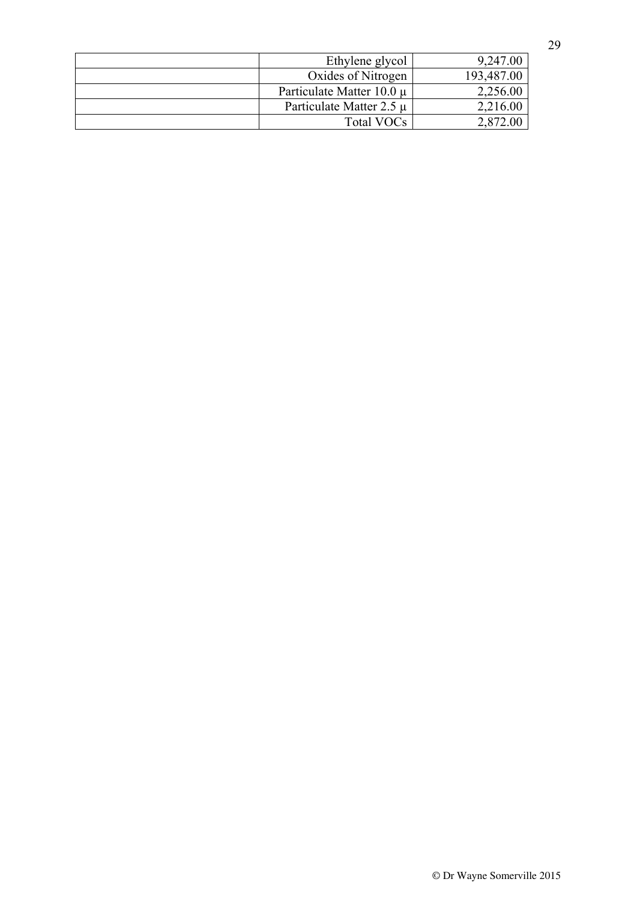| Ethylene glycol               | 9,247.00   |
|-------------------------------|------------|
| Oxides of Nitrogen            | 193,487.00 |
| Particulate Matter $10.0 \mu$ | 2,256.00   |
| Particulate Matter 2.5 $\mu$  | 2,216.00   |
| Total VOCs                    | 2,872.00   |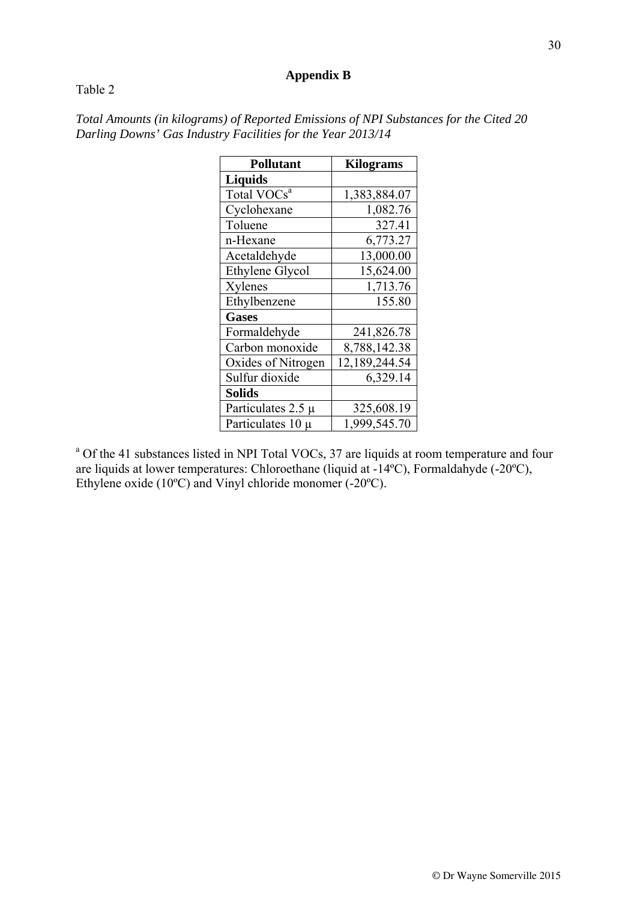#### **Appendix B**

#### Table 2

| <b>Pollutant</b>        | <b>Kilograms</b> |
|-------------------------|------------------|
| <b>Liquids</b>          |                  |
| Total VOCs <sup>a</sup> | 1,383,884.07     |
| Cyclohexane             | 1,082.76         |
| Toluene                 | 327.41           |
| n-Hexane                | 6,773.27         |
| Acetaldehyde            | 13,000.00        |
| Ethylene Glycol         | 15,624.00        |
| Xylenes                 | 1,713.76         |
| Ethylbenzene            | 155.80           |
| <b>Gases</b>            |                  |
| Formaldehyde            | 241,826.78       |
| Carbon monoxide         | 8,788,142.38     |
| Oxides of Nitrogen      | 12,189,244.54    |
| Sulfur dioxide          | 6,329.14         |
| <b>Solids</b>           |                  |
| Particulates $2.5 \mu$  | 325,608.19       |
| Particulates 10 µ       | 1,999,545.70     |

*Total Amounts (in kilograms) of Reported Emissions of NPI Substances for the Cited 20 Darling Downs' Gas Industry Facilities for the Year 2013/14* 

<sup>a</sup> Of the 41 substances listed in NPI Total VOCs, 37 are liquids at room temperature and four are liquids at lower temperatures: Chloroethane (liquid at -14ºC), Formaldahyde (-20ºC), Ethylene oxide (10ºC) and Vinyl chloride monomer (-20ºC).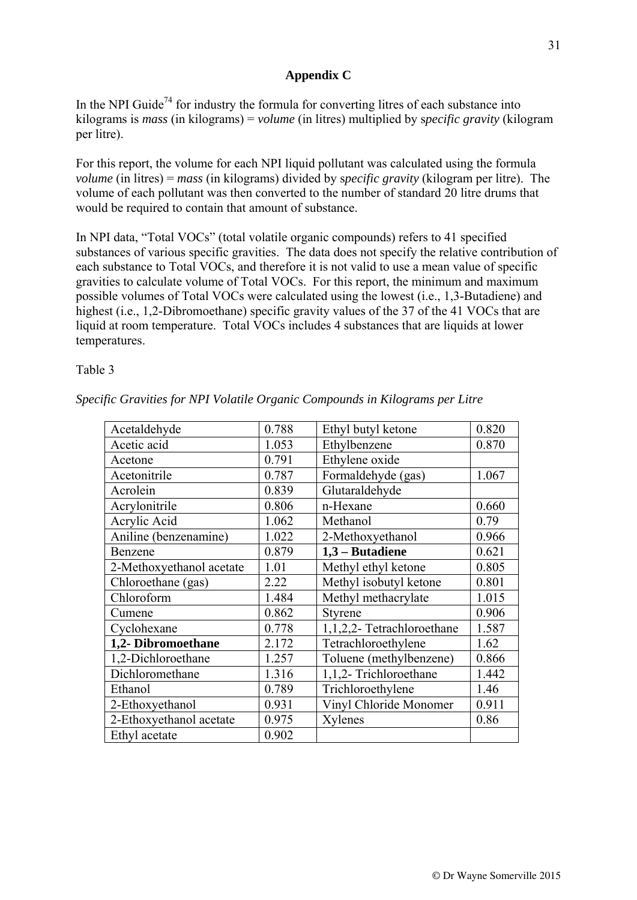#### **Appendix C**

In the NPI Guide<sup>74</sup> for industry the formula for converting litres of each substance into kilograms is *mass* (in kilograms) = *volume* (in litres) multiplied by s*pecific gravity* (kilogram per litre).

For this report, the volume for each NPI liquid pollutant was calculated using the formula *volume* (in litres) = *mass* (in kilograms) divided by s*pecific gravity* (kilogram per litre). The volume of each pollutant was then converted to the number of standard 20 litre drums that would be required to contain that amount of substance.

In NPI data, "Total VOCs" (total volatile organic compounds) refers to 41 specified substances of various specific gravities. The data does not specify the relative contribution of each substance to Total VOCs, and therefore it is not valid to use a mean value of specific gravities to calculate volume of Total VOCs. For this report, the minimum and maximum possible volumes of Total VOCs were calculated using the lowest (i.e., 1,3-Butadiene) and highest (i.e., 1,2-Dibromoethane) specific gravity values of the 37 of the 41 VOCs that are liquid at room temperature. Total VOCs includes 4 substances that are liquids at lower temperatures.

Table 3

| Acetaldehyde             | 0.788 | Ethyl butyl ketone         | 0.820 |
|--------------------------|-------|----------------------------|-------|
| Acetic acid              | 1.053 | Ethylbenzene               | 0.870 |
| Acetone                  | 0.791 | Ethylene oxide             |       |
| Acetonitrile             | 0.787 | Formaldehyde (gas)         | 1.067 |
| Acrolein                 | 0.839 | Glutaraldehyde             |       |
| Acrylonitrile            | 0.806 | n-Hexane                   | 0.660 |
| Acrylic Acid             | 1.062 | Methanol                   | 0.79  |
| Aniline (benzenamine)    | 1.022 | 2-Methoxyethanol           | 0.966 |
| Benzene                  | 0.879 | 1,3 - Butadiene            | 0.621 |
| 2-Methoxyethanol acetate | 1.01  | Methyl ethyl ketone        | 0.805 |
| Chloroethane (gas)       | 2.22  | Methyl isobutyl ketone     | 0.801 |
| Chloroform               | 1.484 | Methyl methacrylate        | 1.015 |
| Cumene                   | 0.862 | Styrene                    | 0.906 |
| Cyclohexane              | 0.778 | 1,1,2,2- Tetrachloroethane | 1.587 |
| 1,2- Dibromoethane       | 2.172 | Tetrachloroethylene        | 1.62  |
| 1,2-Dichloroethane       | 1.257 | Toluene (methylbenzene)    | 0.866 |
| Dichloromethane          | 1.316 | 1,1,2- Trichloroethane     | 1.442 |
| Ethanol                  | 0.789 | Trichloroethylene          | 1.46  |
| 2-Ethoxyethanol          | 0.931 | Vinyl Chloride Monomer     | 0.911 |
| 2-Ethoxyethanol acetate  | 0.975 | Xylenes                    | 0.86  |
| Ethyl acetate            | 0.902 |                            |       |

*Specific Gravities for NPI Volatile Organic Compounds in Kilograms per Litre*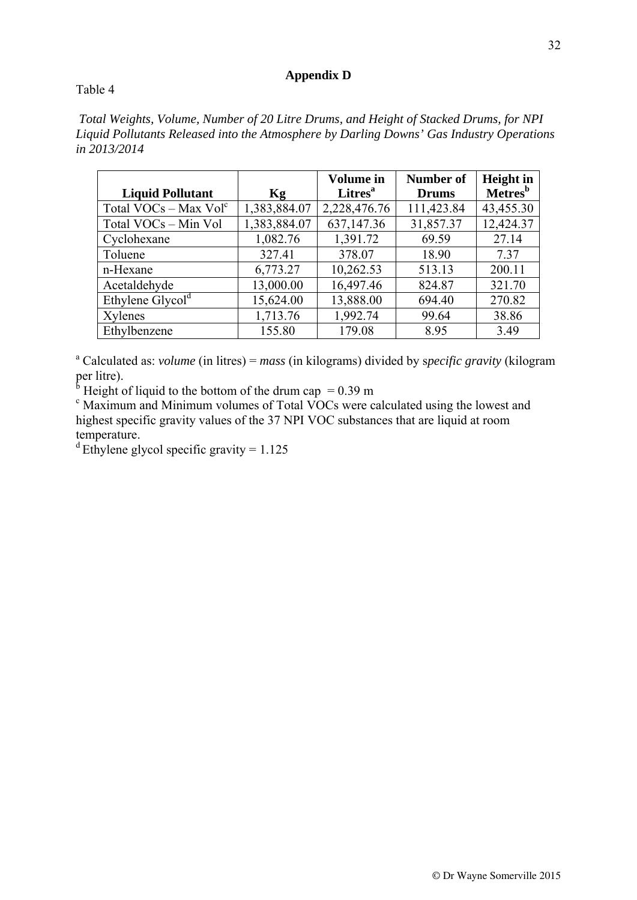#### **Appendix D**

#### Table 4

 *Total Weights, Volume, Number of 20 Litre Drums, and Height of Stacked Drums, for NPI Liquid Pollutants Released into the Atmosphere by Darling Downs' Gas Industry Operations in 2013/2014* 

|                              |              | <b>Volume</b> in           | <b>Number of</b> | <b>Height</b> in           |
|------------------------------|--------------|----------------------------|------------------|----------------------------|
| <b>Liquid Pollutant</b>      | Kg           | <b>Litres</b> <sup>a</sup> | <b>Drums</b>     | <b>Metres</b> <sup>b</sup> |
| Total $VOCs - Max Volc$      | 1,383,884.07 | 2,228,476.76               | 111,423.84       | 43,455.30                  |
| Total VOCs - Min Vol         | 1,383,884.07 | 637,147.36                 | 31,857.37        | 12,424.37                  |
| Cyclohexane                  | 1,082.76     | 1,391.72                   | 69.59            | 27.14                      |
| Toluene                      | 327.41       | 378.07                     | 18.90            | 7.37                       |
| n-Hexane                     | 6,773.27     | 10,262.53                  | 513.13           | 200.11                     |
| Acetaldehyde                 | 13,000.00    | 16,497.46                  | 824.87           | 321.70                     |
| Ethylene Glycol <sup>d</sup> | 15,624.00    | 13,888.00                  | 694.40           | 270.82                     |
| Xylenes                      | 1,713.76     | 1,992.74                   | 99.64            | 38.86                      |
| Ethylbenzene                 | 155.80       | 179.08                     | 8.95             | 3.49                       |

<sup>a</sup> Calculated as: *volume* (in litres) = *mass* (in kilograms) divided by specific gravity (kilogram per litre).<br>  $\rm{b}^b$  Height of liquid to the bottom of the drum cap = 0.39 m<br>  $\rm{c}^c$  Maximum and Minimum volumes of Total VOCs were a

 $\alpha$  Maximum and Minimum volumes of Total VOCs were calculated using the lowest and highest specific gravity values of the 37 NPI VOC substances that are liquid at room temperature.

<sup>d</sup> Ethylene glycol specific gravity =  $1.125$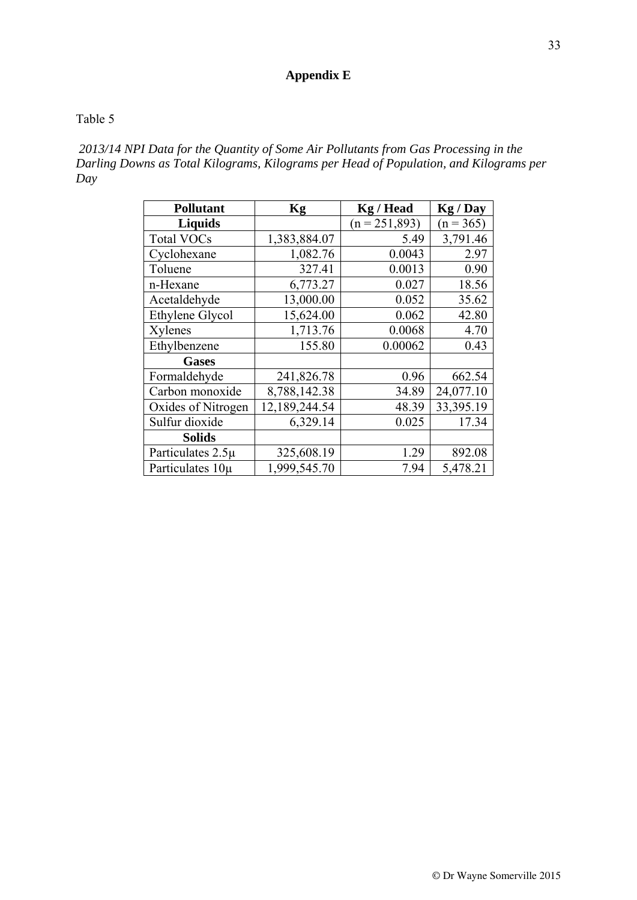## **Appendix E**

#### Table 5

 *2013/14 NPI Data for the Quantity of Some Air Pollutants from Gas Processing in the Darling Downs as Total Kilograms, Kilograms per Head of Population, and Kilograms per Day*

| <b>Pollutant</b>   | Kg            | <b>Kg</b> / Head | Kg / Day    |
|--------------------|---------------|------------------|-------------|
| <b>Liquids</b>     |               | $(n = 251,893)$  | $(n = 365)$ |
| <b>Total VOCs</b>  | 1,383,884.07  | 5.49             | 3,791.46    |
| Cyclohexane        | 1,082.76      | 0.0043           | 2.97        |
| Toluene            | 327.41        | 0.0013           | 0.90        |
| n-Hexane           | 6,773.27      | 0.027            | 18.56       |
| Acetaldehyde       | 13,000.00     | 0.052            | 35.62       |
| Ethylene Glycol    | 15,624.00     | 0.062            | 42.80       |
| Xylenes            | 1,713.76      | 0.0068           | 4.70        |
| Ethylbenzene       | 155.80        | 0.00062          | 0.43        |
| <b>Gases</b>       |               |                  |             |
| Formaldehyde       | 241,826.78    | 0.96             | 662.54      |
| Carbon monoxide    | 8,788,142.38  | 34.89            | 24,077.10   |
| Oxides of Nitrogen | 12,189,244.54 | 48.39            | 33,395.19   |
| Sulfur dioxide     | 6,329.14      | 0.025            | 17.34       |
| <b>Solids</b>      |               |                  |             |
| Particulates 2.5µ  | 325,608.19    | 1.29             | 892.08      |
| Particulates 10µ   | 1,999,545.70  | 7.94             | 5,478.21    |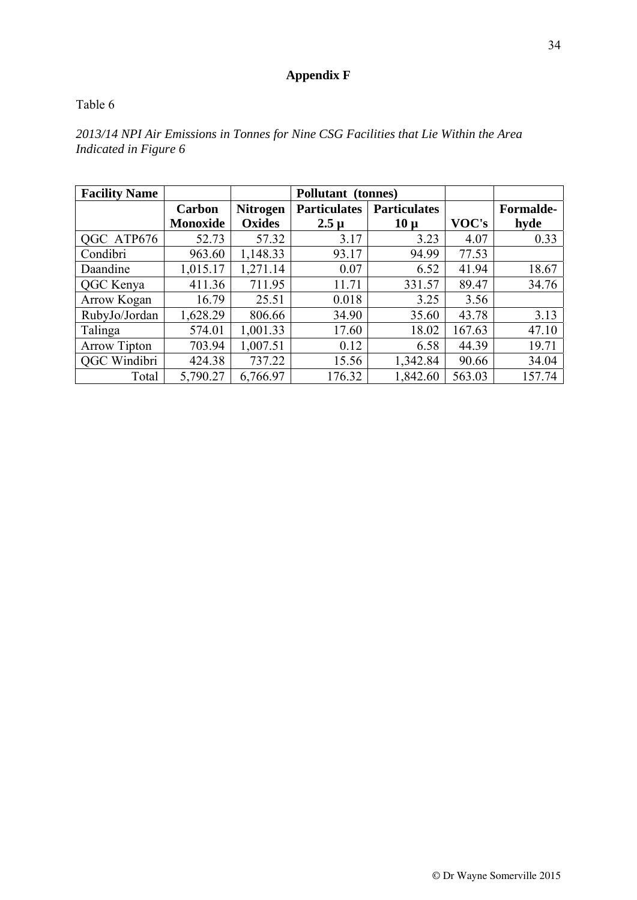## **Appendix F**

## Table 6

| <b>Facility Name</b> |                 |                 | Pollutant (tonnes)  |                     |        |                  |
|----------------------|-----------------|-----------------|---------------------|---------------------|--------|------------------|
|                      | Carbon          | <b>Nitrogen</b> | <b>Particulates</b> | <b>Particulates</b> |        | <b>Formalde-</b> |
|                      | <b>Monoxide</b> | <b>Oxides</b>   | $2.5 \mu$           | $10 \mu$            | VOC's  | hyde             |
| QGC ATP676           | 52.73           | 57.32           | 3.17                | 3.23                | 4.07   | 0.33             |
| Condibri             | 963.60          | 1,148.33        | 93.17               | 94.99               | 77.53  |                  |
| Daandine             | 1,015.17        | 1,271.14        | 0.07                | 6.52                | 41.94  | 18.67            |
| QGC Kenya            | 411.36          | 711.95          | 11.71               | 331.57              | 89.47  | 34.76            |
| Arrow Kogan          | 16.79           | 25.51           | 0.018               | 3.25                | 3.56   |                  |
| RubyJo/Jordan        | 1,628.29        | 806.66          | 34.90               | 35.60               | 43.78  | 3.13             |
| Talinga              | 574.01          | 1,001.33        | 17.60               | 18.02               | 167.63 | 47.10            |
| <b>Arrow Tipton</b>  | 703.94          | 1,007.51        | 0.12                | 6.58                | 44.39  | 19.71            |
| <b>QGC</b> Windibri  | 424.38          | 737.22          | 15.56               | 1,342.84            | 90.66  | 34.04            |
| Total                | 5,790.27        | 6,766.97        | 176.32              | 1,842.60            | 563.03 | 157.74           |

*2013/14 NPI Air Emissions in Tonnes for Nine CSG Facilities that Lie Within the Area Indicated in Figure 6*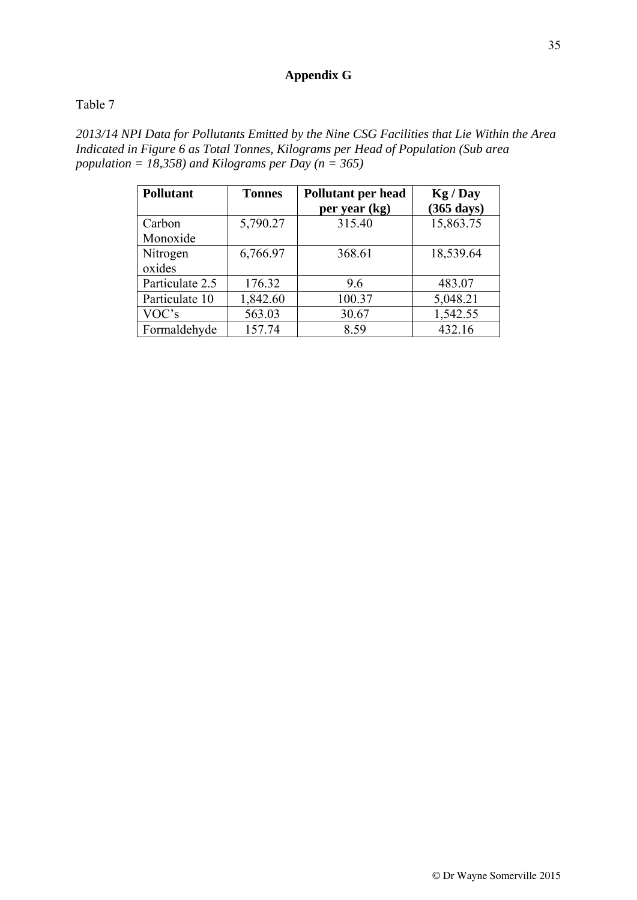## **Appendix G**

## Table 7

*2013/14 NPI Data for Pollutants Emitted by the Nine CSG Facilities that Lie Within the Area Indicated in Figure 6 as Total Tonnes, Kilograms per Head of Population (Sub area population = 18,358) and Kilograms per Day (n = 365)* 

| <b>Pollutant</b> | <b>Tonnes</b> | Pollutant per head<br>per year (kg) | Kg / Day<br>$(365 \text{ days})$ |
|------------------|---------------|-------------------------------------|----------------------------------|
| Carbon           | 5,790.27      | 315.40                              | 15,863.75                        |
| Monoxide         |               |                                     |                                  |
| Nitrogen         | 6,766.97      | 368.61                              | 18,539.64                        |
| oxides           |               |                                     |                                  |
| Particulate 2.5  | 176.32        | 9.6                                 | 483.07                           |
| Particulate 10   | 1,842.60      | 100.37                              | 5,048.21                         |
| VOC's            | 563.03        | 30.67                               | 1,542.55                         |
| Formaldehyde     | 157.74        | 8.59                                | 432.16                           |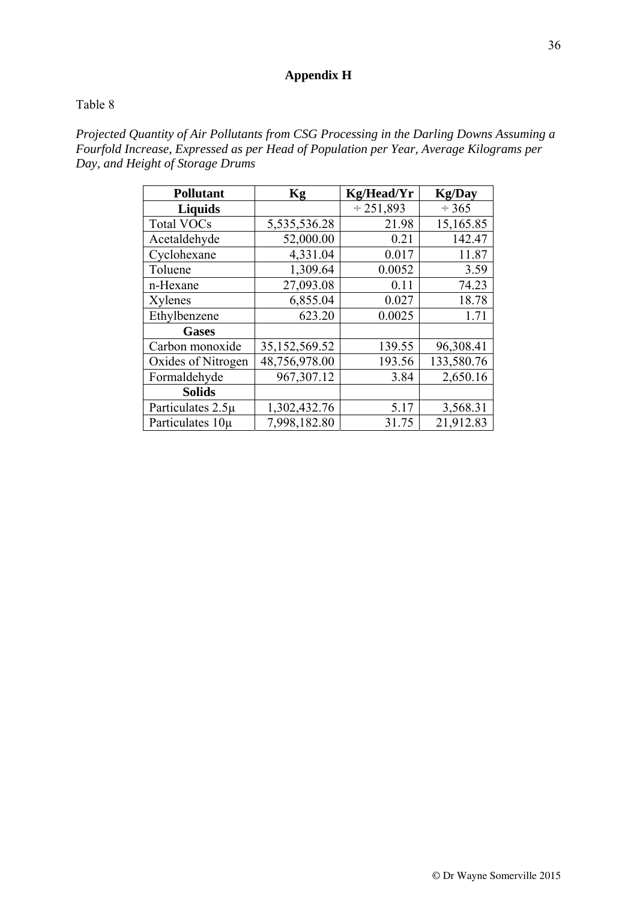## **Appendix H**

#### Table 8

*Projected Quantity of Air Pollutants from CSG Processing in the Darling Downs Assuming a Fourfold Increase, Expressed as per Head of Population per Year, Average Kilograms per Day, and Height of Storage Drums* 

| <b>Pollutant</b>   | Kg            | Kg/Head/Yr     | <b>Kg/Day</b> |
|--------------------|---------------|----------------|---------------|
| <b>Liquids</b>     |               | $\div$ 251,893 | $\div$ 365    |
| <b>Total VOCs</b>  | 5,535,536.28  | 21.98          | 15,165.85     |
| Acetaldehyde       | 52,000.00     | 0.21           | 142.47        |
| Cyclohexane        | 4,331.04      | 0.017          | 11.87         |
| Toluene            | 1,309.64      | 0.0052         | 3.59          |
| n-Hexane           | 27,093.08     | 0.11           | 74.23         |
| Xylenes            | 6,855.04      | 0.027          | 18.78         |
| Ethylbenzene       | 623.20        | 0.0025         | 1.71          |
| <b>Gases</b>       |               |                |               |
| Carbon monoxide    | 35,152,569.52 | 139.55         | 96,308.41     |
| Oxides of Nitrogen | 48,756,978.00 | 193.56         | 133,580.76    |
| Formaldehyde       | 967, 307. 12  | 3.84           | 2,650.16      |
| <b>Solids</b>      |               |                |               |
| Particulates 2.5µ  | 1,302,432.76  | 5.17           | 3,568.31      |
| Particulates 10µ   | 7,998,182.80  | 31.75          | 21,912.83     |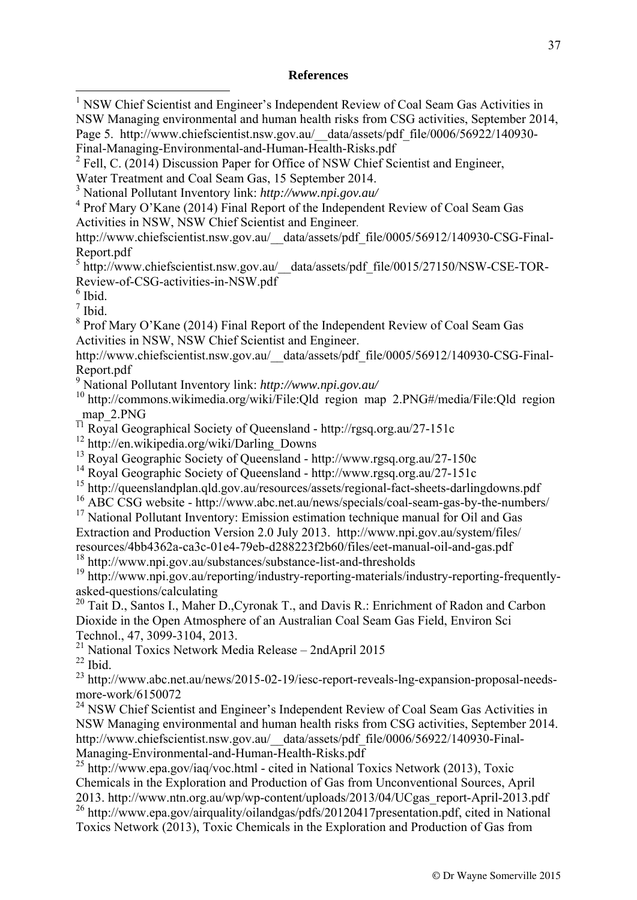#### **References**

<sup>1</sup> NSW Chief Scientist and Engineer's Independent Review of Coal Seam Gas Activities in NSW Managing environmental and human health risks from CSG activities, September 2014, Page 5. http://www.chiefscientist.nsw.gov.au/ data/assets/pdf file/0006/56922/140930-Final-Managing-Environmental-and-Human-Health-Risks.pdf

 $^{2}$  Fell, C. (2014) Discussion Paper for Office of NSW Chief Scientist and Engineer,

Water Treatment and Coal Seam Gas, 15 September 2014.

<sup>4</sup> Prof Mary O'Kane (2014) Final Report of the Independent Review of Coal Seam Gas Activities in NSW, NSW Chief Scientist and Engineer.

http://www.chiefscientist.nsw.gov.au/\_\_data/assets/pdf\_file/0005/56912/140930-CSG-Final-Report.pdf

<sup>5</sup> http://www.chiefscientist.nsw.gov.au/\_data/assets/pdf\_file/0015/27150/NSW-CSE-TOR-Review-of-CSG-activities-in-NSW.pdf

 $<sup>6</sup>$  Ibid.</sup>

7 Ibid.

<sup>8</sup> Prof Mary O'Kane (2014) Final Report of the Independent Review of Coal Seam Gas Activities in NSW, NSW Chief Scientist and Engineer.

http://www.chiefscientist.nsw.gov.au/\_\_data/assets/pdf\_file/0005/56912/140930-CSG-Final-Report.pdf

9 National Pollutant Inventory link: *http://www.npi.gov.au/*

10 http://commons.wikimedia.org/wiki/File:Qld region map 2.PNG#/media/File:Qld region map 2.PNG

 $\frac{11 \text{ m}}{\text{N}}$  Royal Geographical Society of Queensland - http://rgsq.org.au/27-151c

12 http://en.wikipedia.org/wiki/Darling\_Downs

<sup>13</sup> Royal Geographic Society of Queensland - http://www.rgsq.org.au/27-150c

<sup>14</sup> Royal Geographic Society of Queensland - http://www.rgsq.org.au/27-151c

 $15$  http://queenslandplan.qld.gov.au/resources/assets/regional-fact-sheets-darlingdowns.pdf

<sup>16</sup> ABC CSG website - http://www.abc.net.au/news/specials/coal-seam-gas-by-the-numbers/

<sup>17</sup> National Pollutant Inventory: Emission estimation technique manual for Oil and Gas Extraction and Production Version 2.0 July 2013. http://www.npi.gov.au/system/files/ resources/4bb4362a-ca3c-01e4-79eb-d288223f2b60/files/eet-manual-oil-and-gas.pdf

18 http://www.npi.gov.au/substances/substance-list-and-thresholds

<sup>19</sup> http://www.npi.gov.au/reporting/industry-reporting-materials/industry-reporting-frequentlyasked-questions/calculating

<sup>20</sup> Tait D., Santos I., Maher D., Cyronak T., and Davis R.: Enrichment of Radon and Carbon Dioxide in the Open Atmosphere of an Australian Coal Seam Gas Field, Environ Sci Technol., 47, 3099-3104, 2013.

<sup>21</sup> National Toxics Network Media Release – 2ndApril 2015  $22$  Ibid.

<sup>23</sup> http://www.abc.net.au/news/2015-02-19/iesc-report-reveals-lng-expansion-proposal-needsmore-work/6150072

<sup>24</sup> NSW Chief Scientist and Engineer's Independent Review of Coal Seam Gas Activities in NSW Managing environmental and human health risks from CSG activities, September 2014. http://www.chiefscientist.nsw.gov.au/\_\_data/assets/pdf\_file/0006/56922/140930-Final-Managing-Environmental-and-Human-Health-Risks.pdf

 $^{25}$  http://www.epa.gov/iaq/voc.html - cited in National Toxics Network (2013), Toxic Chemicals in the Exploration and Production of Gas from Unconventional Sources, April 2013. http://www.ntn.org.au/wp/wp-content/uploads/2013/04/UCgas\_report-April-2013.pdf <sup>26</sup> http://www.epa.gov/airquality/oilandgas/pdfs/20120417presentation.pdf, cited in National

Toxics Network (2013), Toxic Chemicals in the Exploration and Production of Gas from

<sup>3</sup> National Pollutant Inventory link: *http://www.npi.gov.au/*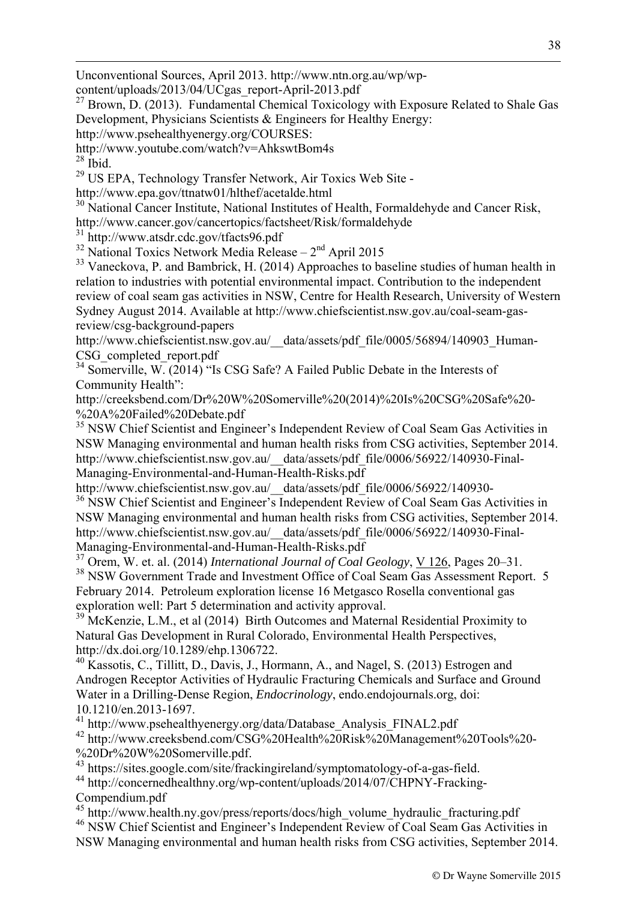Unconventional Sources, April 2013. http://www.ntn.org.au/wp/wp-

content/uploads/2013/04/UCgas\_report-April-2013.pdf

<sup>27</sup> Brown, D. (2013). Fundamental Chemical Toxicology with Exposure Related to Shale Gas Development, Physicians Scientists & Engineers for Healthy Energy:

http://www.psehealthyenergy.org/COURSES:

http://www.youtube.com/watch?v=AhkswtBom4s

 $28$  Ibid.

<u>.</u>

<sup>29</sup> US EPA, Technology Transfer Network, Air Toxics Web Site -

http://www.epa.gov/ttnatw01/hlthef/acetalde.html

<sup>30</sup> National Cancer Institute, National Institutes of Health, Formaldehyde and Cancer Risk, http://www.cancer.gov/cancertopics/factsheet/Risk/formaldehyde

31 http://www.atsdr.cdc.gov/tfacts96.pdf

 $32$  National Toxics Network Media Release –  $2<sup>nd</sup>$  April 2015

<sup>33</sup> Vaneckova, P. and Bambrick, H. (2014) Approaches to baseline studies of human health in relation to industries with potential environmental impact. Contribution to the independent review of coal seam gas activities in NSW, Centre for Health Research, University of Western Sydney August 2014. Available at http://www.chiefscientist.nsw.gov.au/coal-seam-gasreview/csg-background-papers

http://www.chiefscientist.nsw.gov.au/\_data/assets/pdf\_file/0005/56894/140903\_Human-CSG\_completed\_report.pdf

<sup>34</sup> Somerville, W. (2014) "Is CSG Safe? A Failed Public Debate in the Interests of Community Health":

http://creeksbend.com/Dr%20W%20Somerville%20(2014)%20Is%20CSG%20Safe%20- %20A%20Failed%20Debate.pdf

<sup>35</sup> NSW Chief Scientist and Engineer's Independent Review of Coal Seam Gas Activities in NSW Managing environmental and human health risks from CSG activities, September 2014. http://www.chiefscientist.nsw.gov.au/\_\_data/assets/pdf\_file/0006/56922/140930-Final-Managing-Environmental-and-Human-Health-Risks.pdf

http://www.chiefscientist.nsw.gov.au/\_\_data/assets/pdf\_file/0006/56922/140930- <sup>36</sup> NSW Chief Scientist and Engineer's Independent Review of Coal Seam Gas Activities in NSW Managing environmental and human health risks from CSG activities, September 2014.

http://www.chiefscientist.nsw.gov.au/\_\_data/assets/pdf\_file/0006/56922/140930-Final-Managing-Environmental-and-Human-Health-Risks.pdf

<sup>37</sup> Orem, W. et. al. (2014) *International Journal of Coal Geology*, V 126, Pages 20–31.

<sup>38</sup> NSW Government Trade and Investment Office of Coal Seam Gas Assessment Report. 5 February 2014. Petroleum exploration license 16 Metgasco Rosella conventional gas exploration well: Part 5 determination and activity approval.

<sup>39</sup> McKenzie, L.M., et al (2014) Birth Outcomes and Maternal Residential Proximity to Natural Gas Development in Rural Colorado, Environmental Health Perspectives, http://dx.doi.org/10.1289/ehp.1306722.

<sup>40</sup> Kassotis, C., Tillitt, D., Davis, J., Hormann, A., and Nagel, S. (2013) Estrogen and Androgen Receptor Activities of Hydraulic Fracturing Chemicals and Surface and Ground Water in a Drilling-Dense Region, *Endocrinology*, endo.endojournals.org, doi: 10.1210/en.2013-1697.

41 http://www.psehealthyenergy.org/data/Database\_Analysis\_FINAL2.pdf

42 http://www.creeksbend.com/CSG%20Health%20Risk%20Management%20Tools%20- %20Dr%20W%20Somerville.pdf.

43 https://sites.google.com/site/frackingireland/symptomatology-of-a-gas-field.

44 http://concernedhealthny.org/wp-content/uploads/2014/07/CHPNY-Fracking-Compendium.pdf

<sup>45</sup> http://www.health.ny.gov/press/reports/docs/high\_volume\_hydraulic\_fracturing.pdf 46 NSW Chief Scientist and Engineer's Independent Review of Coal Seam Gas Activities in NSW Managing environmental and human health risks from CSG activities, September 2014.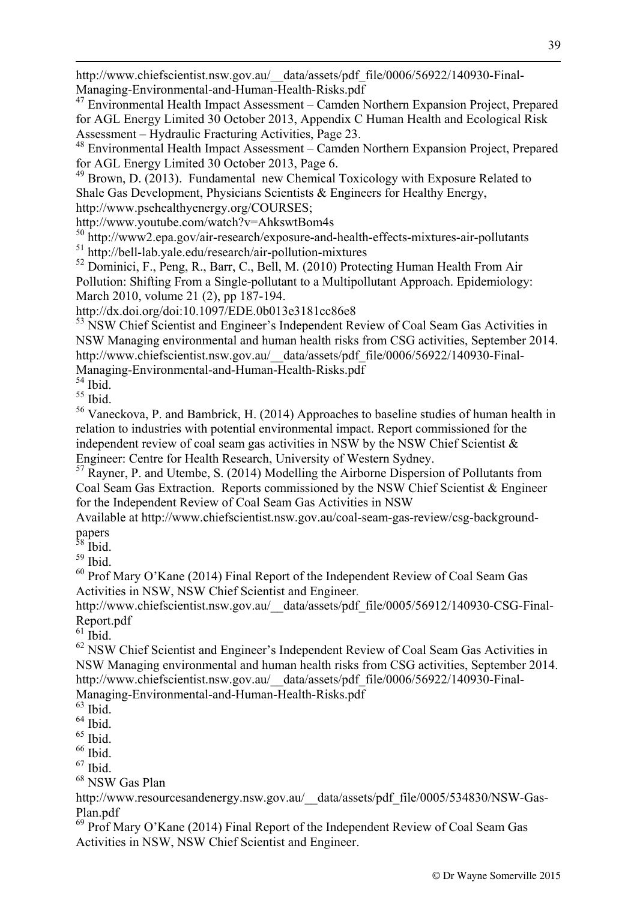http://www.chiefscientist.nsw.gov.au/\_\_data/assets/pdf\_file/0006/56922/140930-Final-Managing-Environmental-and-Human-Health-Risks.pdf

<sup>47</sup> Environmental Health Impact Assessment – Camden Northern Expansion Project, Prepared for AGL Energy Limited 30 October 2013, Appendix C Human Health and Ecological Risk Assessment – Hydraulic Fracturing Activities, Page 23.

48 Environmental Health Impact Assessment – Camden Northern Expansion Project, Prepared for AGL Energy Limited 30 October 2013, Page 6.

 $49$  Brown, D. (2013). Fundamental new Chemical Toxicology with Exposure Related to Shale Gas Development, Physicians Scientists & Engineers for Healthy Energy, http://www.psehealthyenergy.org/COURSES;

http://www.youtube.com/watch?v=AhkswtBom4s

 $50$  http://www2.epa.gov/air-research/exposure-and-health-effects-mixtures-air-pollutants 51 http://bell-lab.yale.edu/research/air-pollution-mixtures

<sup>52</sup> Dominici, F., Peng, R., Barr, C., Bell, M. (2010) Protecting Human Health From Air Pollution: Shifting From a Single-pollutant to a Multipollutant Approach. Epidemiology: March 2010, volume 21 (2), pp 187-194.

http://dx.doi.org/doi:10.1097/EDE.0b013e3181cc86e8

<sup>53</sup> NSW Chief Scientist and Engineer's Independent Review of Coal Seam Gas Activities in NSW Managing environmental and human health risks from CSG activities, September 2014. http://www.chiefscientist.nsw.gov.au/\_\_data/assets/pdf\_file/0006/56922/140930-Final-Managing-Environmental-and-Human-Health-Risks.pdf

 $54$  Ibid.

<u>.</u>

55 Ibid.

56 Vaneckova, P. and Bambrick, H. (2014) Approaches to baseline studies of human health in relation to industries with potential environmental impact. Report commissioned for the independent review of coal seam gas activities in NSW by the NSW Chief Scientist & Engineer: Centre for Health Research, University of Western Sydney.

 $<sup>57</sup>$  Rayner, P. and Utembe, S. (2014) Modelling the Airborne Dispersion of Pollutants from</sup> Coal Seam Gas Extraction. Reports commissioned by the NSW Chief Scientist & Engineer for the Independent Review of Coal Seam Gas Activities in NSW

Available at http://www.chiefscientist.nsw.gov.au/coal-seam-gas-review/csg-backgroundpapers

<sup>58</sup> Ibid.

 $59$  Ibid.

60 Prof Mary O'Kane (2014) Final Report of the Independent Review of Coal Seam Gas Activities in NSW, NSW Chief Scientist and Engineer.

http://www.chiefscientist.nsw.gov.au/\_\_data/assets/pdf\_file/0005/56912/140930-CSG-Final-Report.pdf

 $61$  Ibid.

<sup>62</sup> NSW Chief Scientist and Engineer's Independent Review of Coal Seam Gas Activities in NSW Managing environmental and human health risks from CSG activities, September 2014. http://www.chiefscientist.nsw.gov.au/\_\_data/assets/pdf\_file/0006/56922/140930-Final-Managing-Environmental-and-Human-Health-Risks.pdf

 $63$  Ibid.

 $64$  Ibid.

 $^{65}$  Ibid.

 $66$  Ibid.

 $67$  Ibid.

<sup>68</sup> NSW Gas Plan

http://www.resourcesandenergy.nsw.gov.au/\_\_data/assets/pdf\_file/0005/534830/NSW-Gas-Plan.pdf

<sup>69</sup> Prof Mary O'Kane (2014) Final Report of the Independent Review of Coal Seam Gas Activities in NSW, NSW Chief Scientist and Engineer.